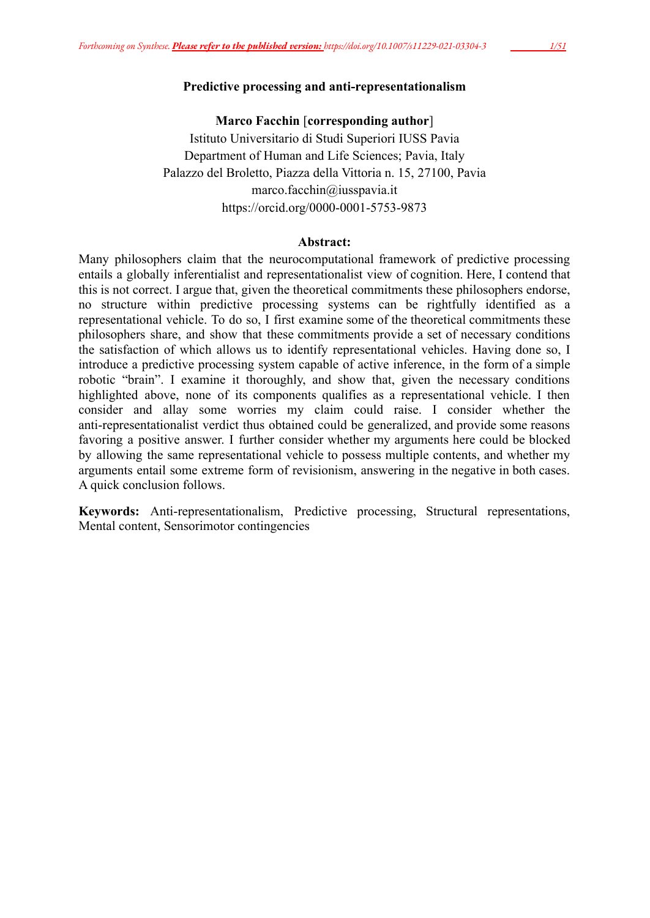# **Predictive processing and anti-representationalism**

**Marco Facchin** [**corresponding author**] Istituto Universitario di Studi Superiori IUSS Pavia Department of Human and Life Sciences; Pavia, Italy Palazzo del Broletto, Piazza della Vittoria n. 15, 27100, Pavia marco.facchin@iusspavia.it https://orcid.org/0000-0001-5753-9873

## **Abstract:**

Many philosophers claim that the neurocomputational framework of predictive processing entails a globally inferentialist and representationalist view of cognition. Here, I contend that this is not correct. I argue that, given the theoretical commitments these philosophers endorse, no structure within predictive processing systems can be rightfully identified as a representational vehicle. To do so, I first examine some of the theoretical commitments these philosophers share, and show that these commitments provide a set of necessary conditions the satisfaction of which allows us to identify representational vehicles. Having done so, I introduce a predictive processing system capable of active inference, in the form of a simple robotic "brain". I examine it thoroughly, and show that, given the necessary conditions highlighted above, none of its components qualifies as a representational vehicle. I then consider and allay some worries my claim could raise. I consider whether the anti-representationalist verdict thus obtained could be generalized, and provide some reasons favoring a positive answer. I further consider whether my arguments here could be blocked by allowing the same representational vehicle to possess multiple contents, and whether my arguments entail some extreme form of revisionism, answering in the negative in both cases. A quick conclusion follows.

**Keywords:** Anti-representationalism, Predictive processing, Structural representations, Mental content, Sensorimotor contingencies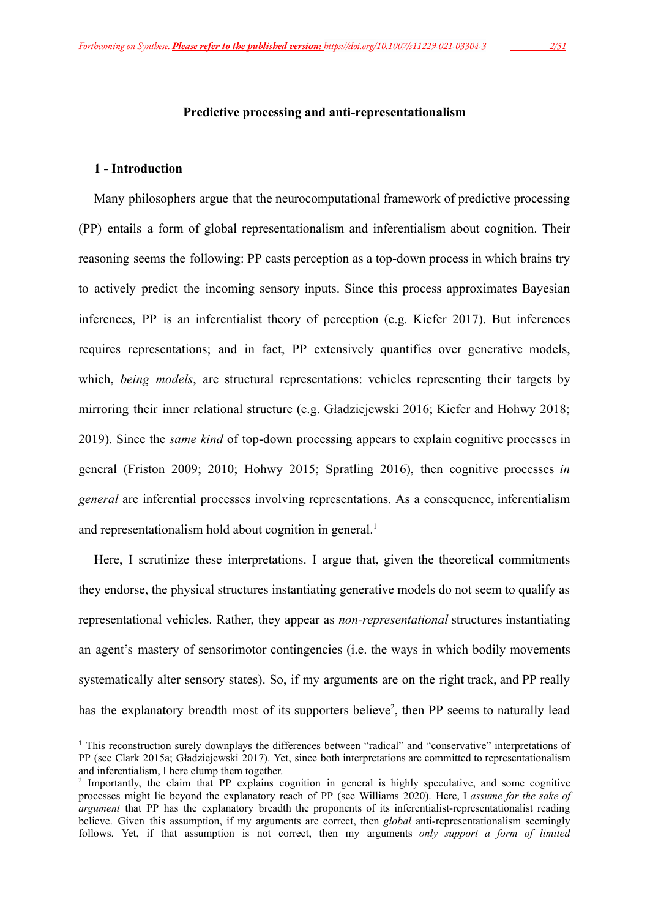#### **Predictive processing and anti-representationalism**

#### **1 - Introduction**

Many philosophers argue that the neurocomputational framework of predictive processing (PP) entails a form of global representationalism and inferentialism about cognition. Their reasoning seems the following: PP casts perception as a top-down process in which brains try to actively predict the incoming sensory inputs. Since this process approximates Bayesian inferences, PP is an inferentialist theory of perception (e.g. Kiefer 2017). But inferences requires representations; and in fact, PP extensively quantifies over generative models, which, *being models*, are structural representations: vehicles representing their targets by mirroring their inner relational structure (e.g. Gładziejewski 2016; Kiefer and Hohwy 2018; 2019). Since the *same kind* of top-down processing appears to explain cognitive processes in general (Friston 2009; 2010; Hohwy 2015; Spratling 2016), then cognitive processes *in general* are inferential processes involving representations. As a consequence, inferentialism and representationalism hold about cognition in general.<sup>1</sup>

Here, I scrutinize these interpretations. I argue that, given the theoretical commitments they endorse, the physical structures instantiating generative models do not seem to qualify as representational vehicles. Rather, they appear as *non-representational* structures instantiating an agent's mastery of sensorimotor contingencies (i.e. the ways in which bodily movements systematically alter sensory states). So, if my arguments are on the right track, and PP really has the explanatory breadth most of its supporters believe<sup>2</sup>, then PP seems to naturally lead

<sup>1</sup> This reconstruction surely downplays the differences between "radical" and "conservative" interpretations of PP (see Clark 2015a; Gładziejewski 2017). Yet, since both interpretations are committed to representationalism and inferentialism, I here clump them together.

<sup>&</sup>lt;sup>2</sup> Importantly, the claim that PP explains cognition in general is highly speculative, and some cognitive processes might lie beyond the explanatory reach of PP (see Williams 2020). Here, I *assume for the sake of argument* that PP has the explanatory breadth the proponents of its inferentialist-representationalist reading believe. Given this assumption, if my arguments are correct, then *global* anti-representationalism seemingly follows. Yet, if that assumption is not correct, then my arguments *only support a form of limited*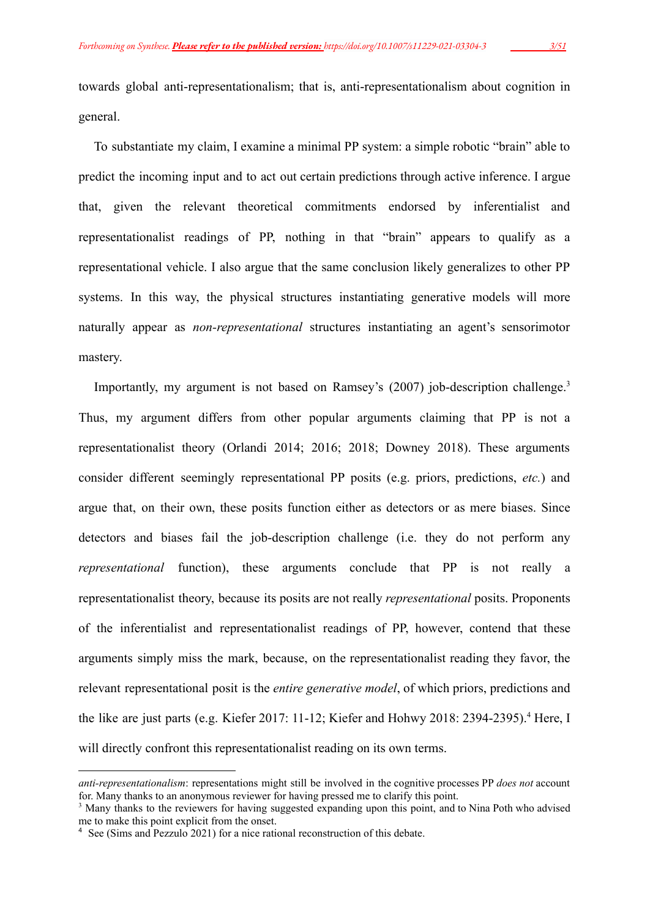towards global anti-representationalism; that is, anti-representationalism about cognition in general.

To substantiate my claim, I examine a minimal PP system: a simple robotic "brain" able to predict the incoming input and to act out certain predictions through active inference. I argue that, given the relevant theoretical commitments endorsed by inferentialist and representationalist readings of PP, nothing in that "brain" appears to qualify as a representational vehicle. I also argue that the same conclusion likely generalizes to other PP systems. In this way, the physical structures instantiating generative models will more naturally appear as *non-representational* structures instantiating an agent's sensorimotor mastery.

Importantly, my argument is not based on Ramsey's (2007) job-description challenge.<sup>3</sup> Thus, my argument differs from other popular arguments claiming that PP is not a representationalist theory (Orlandi 2014; 2016; 2018; Downey 2018). These arguments consider different seemingly representational PP posits (e.g. priors, predictions, *etc.*) and argue that, on their own, these posits function either as detectors or as mere biases. Since detectors and biases fail the job-description challenge (i.e. they do not perform any *representational* function), these arguments conclude that PP is not really a representationalist theory, because its posits are not really *representational* posits. Proponents of the inferentialist and representationalist readings of PP, however, contend that these arguments simply miss the mark, because, on the representationalist reading they favor, the relevant representational posit is the *entire generative model*, of which priors, predictions and the like are just parts (e.g. Kiefer 2017: 11-12; Kiefer and Hohwy 2018: 2394-2395).<sup>4</sup> Here, I will directly confront this representationalist reading on its own terms.

*anti-representationalism*: representations might still be involved in the cognitive processes PP *does not* account for. Many thanks to an anonymous reviewer for having pressed me to clarify this point.

<sup>&</sup>lt;sup>3</sup> Many thanks to the reviewers for having suggested expanding upon this point, and to Nina Poth who advised me to make this point explicit from the onset.

<sup>&</sup>lt;sup>4</sup> See (Sims and Pezzulo 2021) for a nice rational reconstruction of this debate.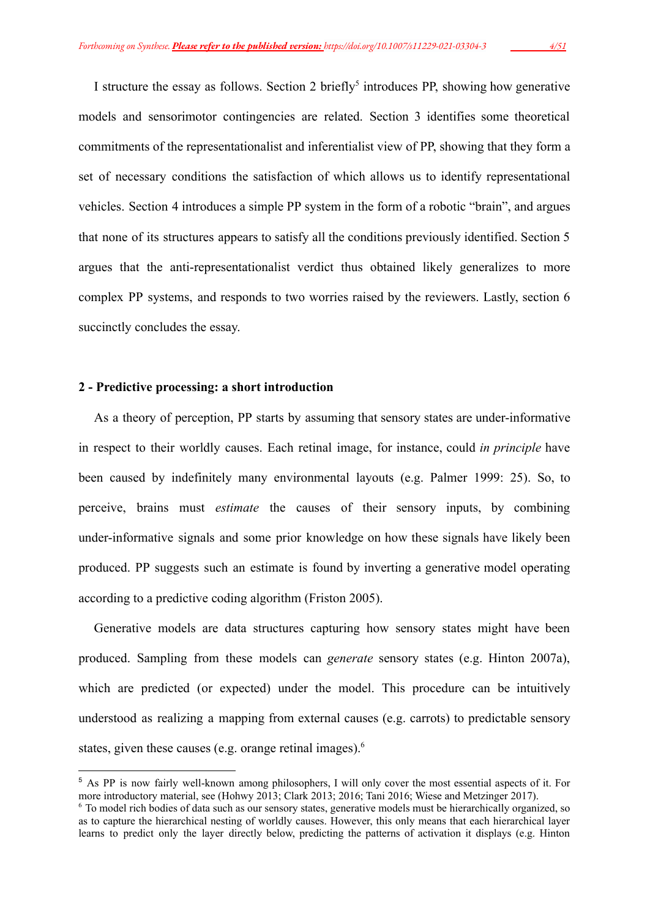I structure the essay as follows. Section 2 briefly<sup>5</sup> introduces PP, showing how generative models and sensorimotor contingencies are related. Section 3 identifies some theoretical commitments of the representationalist and inferentialist view of PP, showing that they form a set of necessary conditions the satisfaction of which allows us to identify representational vehicles. Section 4 introduces a simple PP system in the form of a robotic "brain", and argues that none of its structures appears to satisfy all the conditions previously identified. Section 5 argues that the anti-representationalist verdict thus obtained likely generalizes to more complex PP systems, and responds to two worries raised by the reviewers. Lastly, section 6 succinctly concludes the essay.

## **2 - Predictive processing: a short introduction**

As a theory of perception, PP starts by assuming that sensory states are under-informative in respect to their worldly causes. Each retinal image, for instance, could *in principle* have been caused by indefinitely many environmental layouts (e.g. Palmer 1999: 25). So, to perceive, brains must *estimate* the causes of their sensory inputs, by combining under-informative signals and some prior knowledge on how these signals have likely been produced. PP suggests such an estimate is found by inverting a generative model operating according to a predictive coding algorithm (Friston 2005).

Generative models are data structures capturing how sensory states might have been produced. Sampling from these models can *generate* sensory states (e.g. Hinton 2007a), which are predicted (or expected) under the model. This procedure can be intuitively understood as realizing a mapping from external causes (e.g. carrots) to predictable sensory states, given these causes (e.g. orange retinal images).<sup>6</sup>

<sup>5</sup> As PP is now fairly well-known among philosophers, I will only cover the most essential aspects of it. For more introductory material, see (Hohwy 2013; Clark 2013; 2016; Tani 2016; Wiese and Metzinger 2017).

<sup>6</sup> To model rich bodies of data such as our sensory states, generative models must be hierarchically organized, so as to capture the hierarchical nesting of worldly causes. However, this only means that each hierarchical layer learns to predict only the layer directly below, predicting the patterns of activation it displays (e.g. Hinton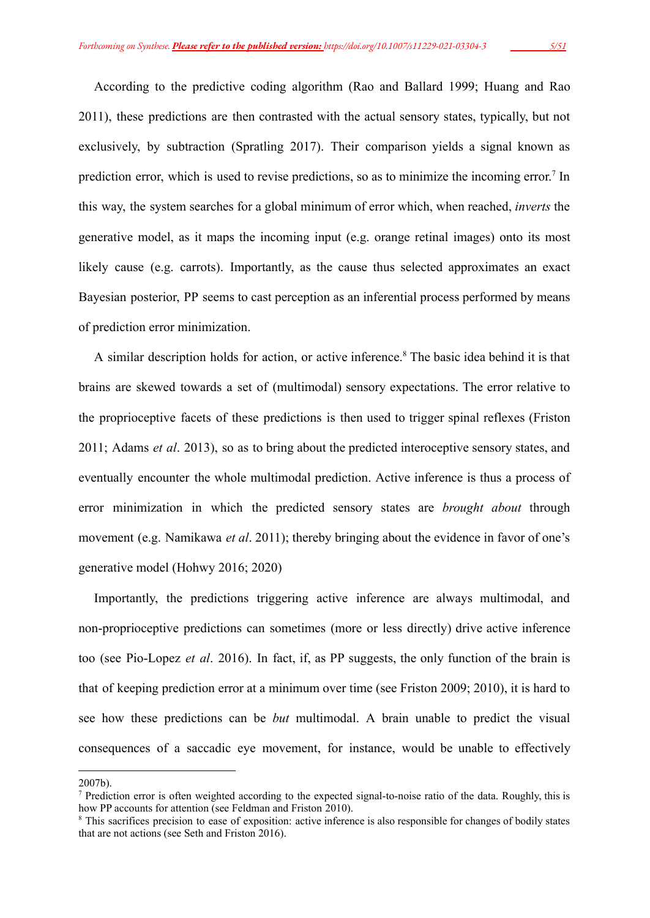According to the predictive coding algorithm (Rao and Ballard 1999; Huang and Rao 2011), these predictions are then contrasted with the actual sensory states, typically, but not exclusively, by subtraction (Spratling 2017). Their comparison yields a signal known as prediction error, which is used to revise predictions, so as to minimize the incoming error.<sup>7</sup> In this way, the system searches for a global minimum of error which, when reached, *inverts* the generative model, as it maps the incoming input (e.g. orange retinal images) onto its most likely cause (e.g. carrots). Importantly, as the cause thus selected approximates an exact Bayesian posterior, PP seems to cast perception as an inferential process performed by means of prediction error minimization.

A similar description holds for action, or active inference.<sup>8</sup> The basic idea behind it is that brains are skewed towards a set of (multimodal) sensory expectations. The error relative to the proprioceptive facets of these predictions is then used to trigger spinal reflexes (Friston 2011; Adams *et al*. 2013), so as to bring about the predicted interoceptive sensory states, and eventually encounter the whole multimodal prediction. Active inference is thus a process of error minimization in which the predicted sensory states are *brought about* through movement (e.g. Namikawa *et al*. 2011); thereby bringing about the evidence in favor of one's generative model (Hohwy 2016; 2020)

Importantly, the predictions triggering active inference are always multimodal, and non-proprioceptive predictions can sometimes (more or less directly) drive active inference too (see Pio-Lopez *et al*. 2016). In fact, if, as PP suggests, the only function of the brain is that of keeping prediction error at a minimum over time (see Friston 2009; 2010), it is hard to see how these predictions can be *but* multimodal. A brain unable to predict the visual consequences of a saccadic eye movement, for instance, would be unable to effectively

<sup>2007</sup>b).

 $<sup>7</sup>$  Prediction error is often weighted according to the expected signal-to-noise ratio of the data. Roughly, this is</sup> how PP accounts for attention (see Feldman and Friston 2010).

<sup>8</sup> This sacrifices precision to ease of exposition: active inference is also responsible for changes of bodily states that are not actions (see Seth and Friston 2016).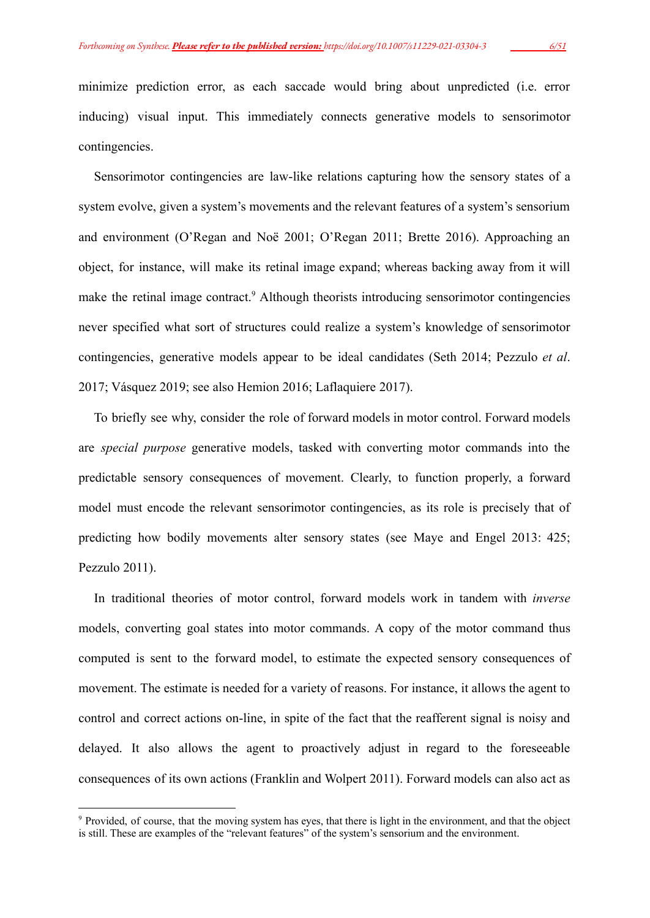minimize prediction error, as each saccade would bring about unpredicted (i.e. error inducing) visual input. This immediately connects generative models to sensorimotor contingencies.

Sensorimotor contingencies are law-like relations capturing how the sensory states of a system evolve, given a system's movements and the relevant features of a system's sensorium and environment (O'Regan and Noë 2001; O'Regan 2011; Brette 2016). Approaching an object, for instance, will make its retinal image expand; whereas backing away from it will make the retinal image contract.<sup>9</sup> Although theorists introducing sensorimotor contingencies never specified what sort of structures could realize a system's knowledge of sensorimotor contingencies, generative models appear to be ideal candidates (Seth 2014; Pezzulo *et al*. 2017; Vásquez 2019; see also Hemion 2016; Laflaquiere 2017).

To briefly see why, consider the role of forward models in motor control. Forward models are *special purpose* generative models, tasked with converting motor commands into the predictable sensory consequences of movement. Clearly, to function properly, a forward model must encode the relevant sensorimotor contingencies, as its role is precisely that of predicting how bodily movements alter sensory states (see Maye and Engel 2013: 425; Pezzulo 2011).

In traditional theories of motor control, forward models work in tandem with *inverse* models, converting goal states into motor commands. A copy of the motor command thus computed is sent to the forward model, to estimate the expected sensory consequences of movement. The estimate is needed for a variety of reasons. For instance, it allows the agent to control and correct actions on-line, in spite of the fact that the reafferent signal is noisy and delayed. It also allows the agent to proactively adjust in regard to the foreseeable consequences of its own actions (Franklin and Wolpert 2011). Forward models can also act as

<sup>&</sup>lt;sup>9</sup> Provided, of course, that the moving system has eyes, that there is light in the environment, and that the object is still. These are examples of the "relevant features" of the system's sensorium and the environment.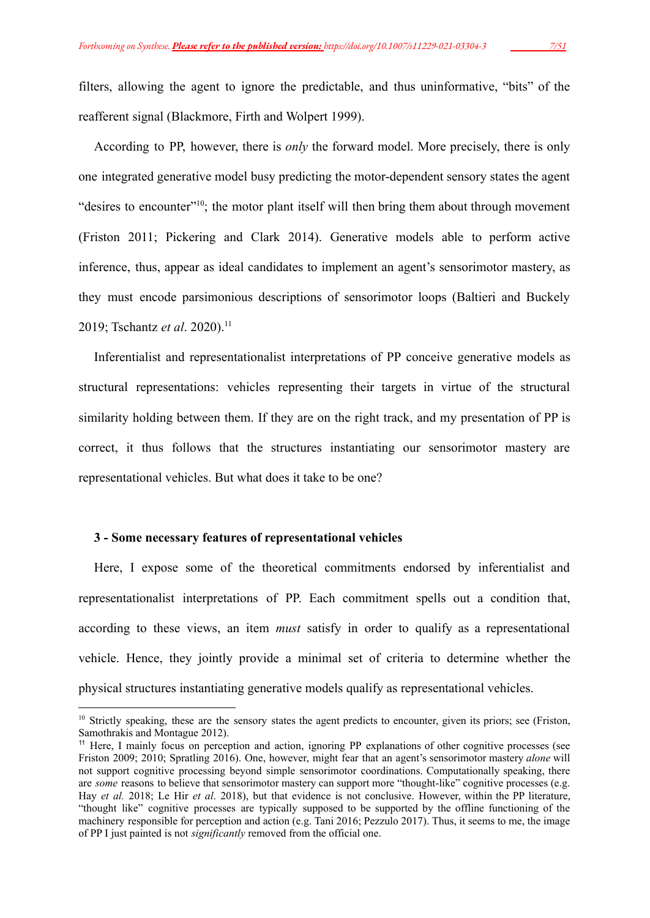filters, allowing the agent to ignore the predictable, and thus uninformative, "bits" of the reafferent signal (Blackmore, Firth and Wolpert 1999).

According to PP, however, there is *only* the forward model. More precisely, there is only one integrated generative model busy predicting the motor-dependent sensory states the agent "desires to encounter"<sup>10</sup>; the motor plant itself will then bring them about through movement (Friston 2011; Pickering and Clark 2014). Generative models able to perform active inference, thus, appear as ideal candidates to implement an agent's sensorimotor mastery, as they must encode parsimonious descriptions of sensorimotor loops (Baltieri and Buckely 2019; Tschantz *et al.* 2020).<sup>11</sup>

Inferentialist and representationalist interpretations of PP conceive generative models as structural representations: vehicles representing their targets in virtue of the structural similarity holding between them. If they are on the right track, and my presentation of PP is correct, it thus follows that the structures instantiating our sensorimotor mastery are representational vehicles. But what does it take to be one?

## **3 - Some necessary features of representational vehicles**

Here, I expose some of the theoretical commitments endorsed by inferentialist and representationalist interpretations of PP. Each commitment spells out a condition that, according to these views, an item *must* satisfy in order to qualify as a representational vehicle. Hence, they jointly provide a minimal set of criteria to determine whether the physical structures instantiating generative models qualify as representational vehicles.

<sup>&</sup>lt;sup>10</sup> Strictly speaking, these are the sensory states the agent predicts to encounter, given its priors; see (Friston, Samothrakis and Montague 2012).

<sup>&</sup>lt;sup>11</sup> Here, I mainly focus on perception and action, ignoring PP explanations of other cognitive processes (see Friston 2009; 2010; Spratling 2016). One, however, might fear that an agent's sensorimotor mastery *alone* will not support cognitive processing beyond simple sensorimotor coordinations. Computationally speaking, there are *some* reasons to believe that sensorimotor mastery can support more "thought-like" cognitive processes (e.g. Hay *et al.* 2018; Le Hir *et al*. 2018), but that evidence is not conclusive. However, within the PP literature, "thought like" cognitive processes are typically supposed to be supported by the offline functioning of the machinery responsible for perception and action (e.g. Tani 2016; Pezzulo 2017). Thus, it seems to me, the image of PP I just painted is not *significantly* removed from the official one.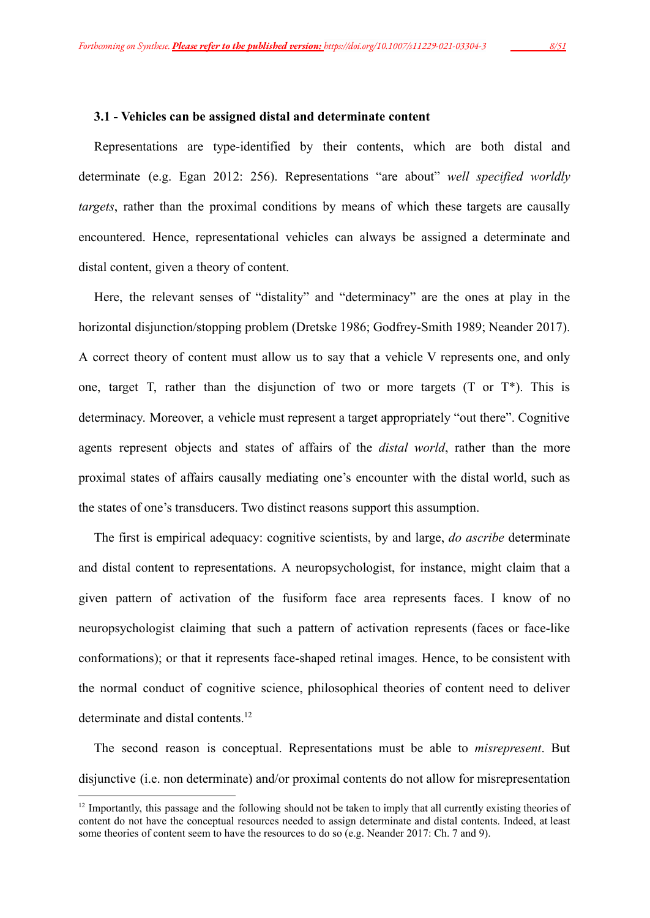#### **3.1 - Vehicles can be assigned distal and determinate content**

Representations are type-identified by their contents, which are both distal and determinate (e.g. Egan 2012: 256). Representations "are about" *well specified worldly targets*, rather than the proximal conditions by means of which these targets are causally encountered. Hence, representational vehicles can always be assigned a determinate and distal content, given a theory of content.

Here, the relevant senses of "distality" and "determinacy" are the ones at play in the horizontal disjunction/stopping problem (Dretske 1986; Godfrey-Smith 1989; Neander 2017). A correct theory of content must allow us to say that a vehicle V represents one, and only one, target T, rather than the disjunction of two or more targets  $(T \text{ or } T^*)$ . This is determinacy. Moreover, a vehicle must represent a target appropriately "out there". Cognitive agents represent objects and states of affairs of the *distal world*, rather than the more proximal states of affairs causally mediating one's encounter with the distal world, such as the states of one's transducers. Two distinct reasons support this assumption.

The first is empirical adequacy: cognitive scientists, by and large, *do ascribe* determinate and distal content to representations. A neuropsychologist, for instance, might claim that a given pattern of activation of the fusiform face area represents faces. I know of no neuropsychologist claiming that such a pattern of activation represents (faces or face-like conformations); or that it represents face-shaped retinal images. Hence, to be consistent with the normal conduct of cognitive science, philosophical theories of content need to deliver determinate and distal contents.<sup>12</sup>

The second reason is conceptual. Representations must be able to *misrepresent*. But disjunctive (i.e. non determinate) and/or proximal contents do not allow for misrepresentation

 $12$  Importantly, this passage and the following should not be taken to imply that all currently existing theories of content do not have the conceptual resources needed to assign determinate and distal contents. Indeed, at least some theories of content seem to have the resources to do so (e.g. Neander 2017: Ch. 7 and 9).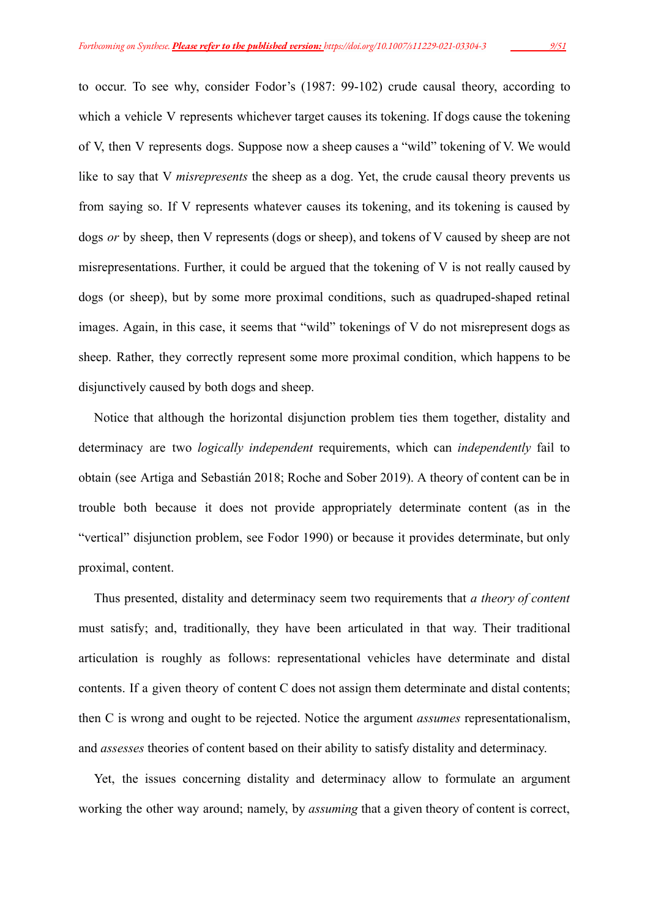to occur. To see why, consider Fodor's (1987: 99-102) crude causal theory, according to which a vehicle V represents whichever target causes its tokening. If dogs cause the tokening of V, then V represents dogs. Suppose now a sheep causes a "wild" tokening of V. We would like to say that V *misrepresents* the sheep as a dog. Yet, the crude causal theory prevents us from saying so. If V represents whatever causes its tokening, and its tokening is caused by dogs *or* by sheep, then V represents (dogs or sheep), and tokens of V caused by sheep are not misrepresentations. Further, it could be argued that the tokening of V is not really caused by dogs (or sheep), but by some more proximal conditions, such as quadruped-shaped retinal images. Again, in this case, it seems that "wild" tokenings of V do not misrepresent dogs as sheep. Rather, they correctly represent some more proximal condition, which happens to be disjunctively caused by both dogs and sheep.

Notice that although the horizontal disjunction problem ties them together, distality and determinacy are two *logically independent* requirements, which can *independently* fail to obtain (see Artiga and Sebastián 2018; Roche and Sober 2019). A theory of content can be in trouble both because it does not provide appropriately determinate content (as in the "vertical" disjunction problem, see Fodor 1990) or because it provides determinate, but only proximal, content.

Thus presented, distality and determinacy seem two requirements that *a theory of content* must satisfy; and, traditionally, they have been articulated in that way. Their traditional articulation is roughly as follows: representational vehicles have determinate and distal contents. If a given theory of content C does not assign them determinate and distal contents; then C is wrong and ought to be rejected. Notice the argument *assumes* representationalism, and *assesses* theories of content based on their ability to satisfy distality and determinacy.

Yet, the issues concerning distality and determinacy allow to formulate an argument working the other way around; namely, by *assuming* that a given theory of content is correct,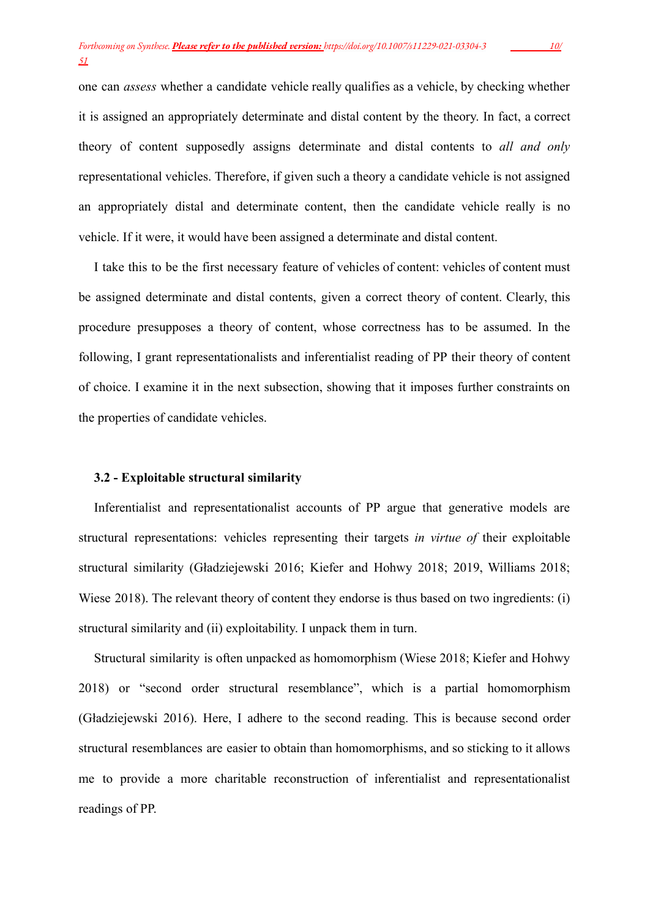one can *assess* whether a candidate vehicle really qualifies as a vehicle, by checking whether it is assigned an appropriately determinate and distal content by the theory. In fact, a correct theory of content supposedly assigns determinate and distal contents to *all and only* representational vehicles. Therefore, if given such a theory a candidate vehicle is not assigned an appropriately distal and determinate content, then the candidate vehicle really is no vehicle. If it were, it would have been assigned a determinate and distal content.

I take this to be the first necessary feature of vehicles of content: vehicles of content must be assigned determinate and distal contents, given a correct theory of content. Clearly, this procedure presupposes a theory of content, whose correctness has to be assumed. In the following, I grant representationalists and inferentialist reading of PP their theory of content of choice. I examine it in the next subsection, showing that it imposes further constraints on the properties of candidate vehicles.

#### **3.2 - Exploitable structural similarity**

Inferentialist and representationalist accounts of PP argue that generative models are structural representations: vehicles representing their targets *in virtue of* their exploitable structural similarity (Gładziejewski 2016; Kiefer and Hohwy 2018; 2019, Williams 2018; Wiese 2018). The relevant theory of content they endorse is thus based on two ingredients: (i) structural similarity and (ii) exploitability. I unpack them in turn.

Structural similarity is often unpacked as homomorphism (Wiese 2018; Kiefer and Hohwy 2018) or "second order structural resemblance", which is a partial homomorphism (Gładziejewski 2016). Here, I adhere to the second reading. This is because second order structural resemblances are easier to obtain than homomorphisms, and so sticking to it allows me to provide a more charitable reconstruction of inferentialist and representationalist readings of PP.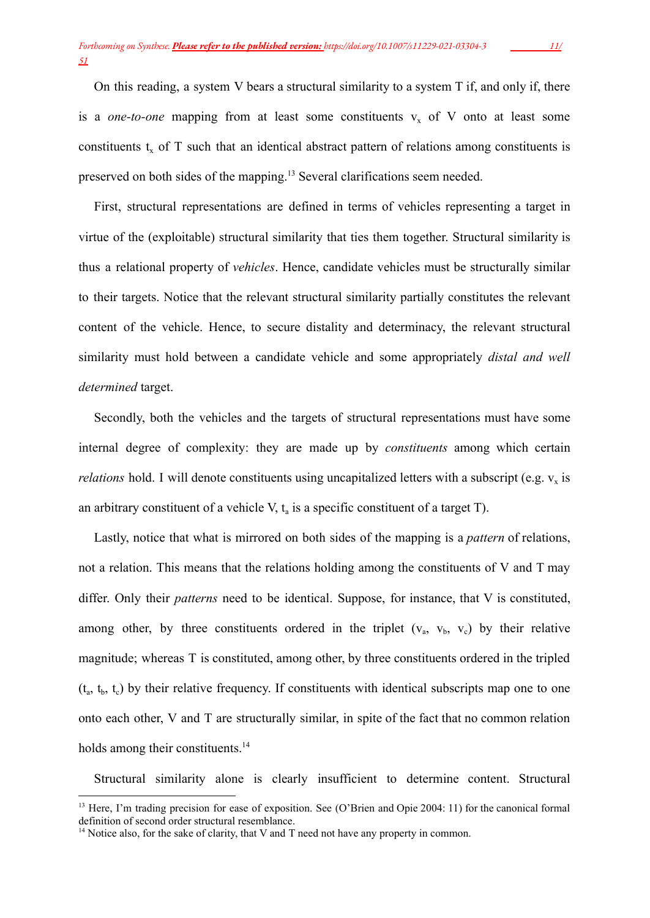On this reading, a system V bears a structural similarity to a system T if, and only if, there is a *one-to-one* mapping from at least some constituents  $v_x$  of V onto at least some constituents  $t_x$  of T such that an identical abstract pattern of relations among constituents is preserved on both sides of the mapping.<sup>13</sup> Several clarifications seem needed.

First, structural representations are defined in terms of vehicles representing a target in virtue of the (exploitable) structural similarity that ties them together. Structural similarity is thus a relational property of *vehicles*. Hence, candidate vehicles must be structurally similar to their targets. Notice that the relevant structural similarity partially constitutes the relevant content of the vehicle. Hence, to secure distality and determinacy, the relevant structural similarity must hold between a candidate vehicle and some appropriately *distal and well determined* target.

Secondly, both the vehicles and the targets of structural representations must have some internal degree of complexity: they are made up by *constituents* among which certain *relations* hold. I will denote constituents using uncapitalized letters with a subscript (e.g.  $v_x$  is an arbitrary constituent of a vehicle V,  $t_a$  is a specific constituent of a target T).

Lastly, notice that what is mirrored on both sides of the mapping is a *pattern* of relations, not a relation. This means that the relations holding among the constituents of V and T may differ. Only their *patterns* need to be identical. Suppose, for instance, that V is constituted, among other, by three constituents ordered in the triplet  $(v_a, v_b, v_c)$  by their relative magnitude; whereas T is constituted, among other, by three constituents ordered in the tripled  $(t_a, t_b, t_c)$  by their relative frequency. If constituents with identical subscripts map one to one onto each other, V and T are structurally similar, in spite of the fact that no common relation holds among their constituents.<sup>14</sup>

Structural similarity alone is clearly insufficient to determine content. Structural

<sup>&</sup>lt;sup>13</sup> Here, I'm trading precision for ease of exposition. See (O'Brien and Opie 2004: 11) for the canonical formal definition of second order structural resemblance.

<sup>&</sup>lt;sup>14</sup> Notice also, for the sake of clarity, that V and T need not have any property in common.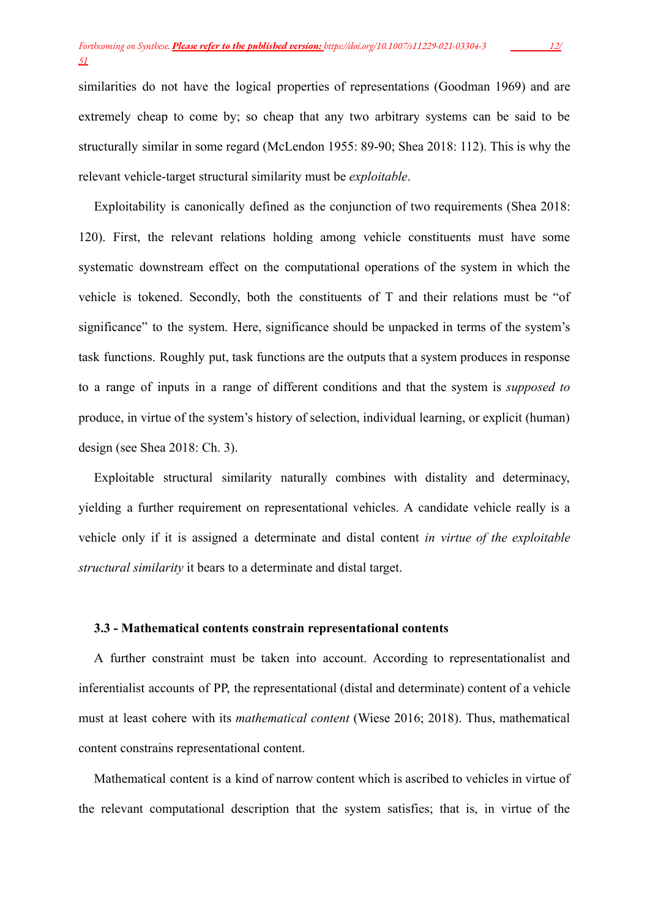similarities do not have the logical properties of representations (Goodman 1969) and are extremely cheap to come by; so cheap that any two arbitrary systems can be said to be structurally similar in some regard (McLendon 1955: 89-90; Shea 2018: 112). This is why the relevant vehicle-target structural similarity must be *exploitable*.

Exploitability is canonically defined as the conjunction of two requirements (Shea 2018: 120). First, the relevant relations holding among vehicle constituents must have some systematic downstream effect on the computational operations of the system in which the vehicle is tokened. Secondly, both the constituents of T and their relations must be "of significance" to the system. Here, significance should be unpacked in terms of the system's task functions. Roughly put, task functions are the outputs that a system produces in response to a range of inputs in a range of different conditions and that the system is *supposed to* produce, in virtue of the system's history of selection, individual learning, or explicit (human) design (see Shea 2018: Ch. 3).

Exploitable structural similarity naturally combines with distality and determinacy, yielding a further requirement on representational vehicles. A candidate vehicle really is a vehicle only if it is assigned a determinate and distal content *in virtue of the exploitable structural similarity* it bears to a determinate and distal target.

# **3.3 - Mathematical contents constrain representational contents**

A further constraint must be taken into account. According to representationalist and inferentialist accounts of PP, the representational (distal and determinate) content of a vehicle must at least cohere with its *mathematical content* (Wiese 2016; 2018). Thus, mathematical content constrains representational content.

Mathematical content is a kind of narrow content which is ascribed to vehicles in virtue of the relevant computational description that the system satisfies; that is, in virtue of the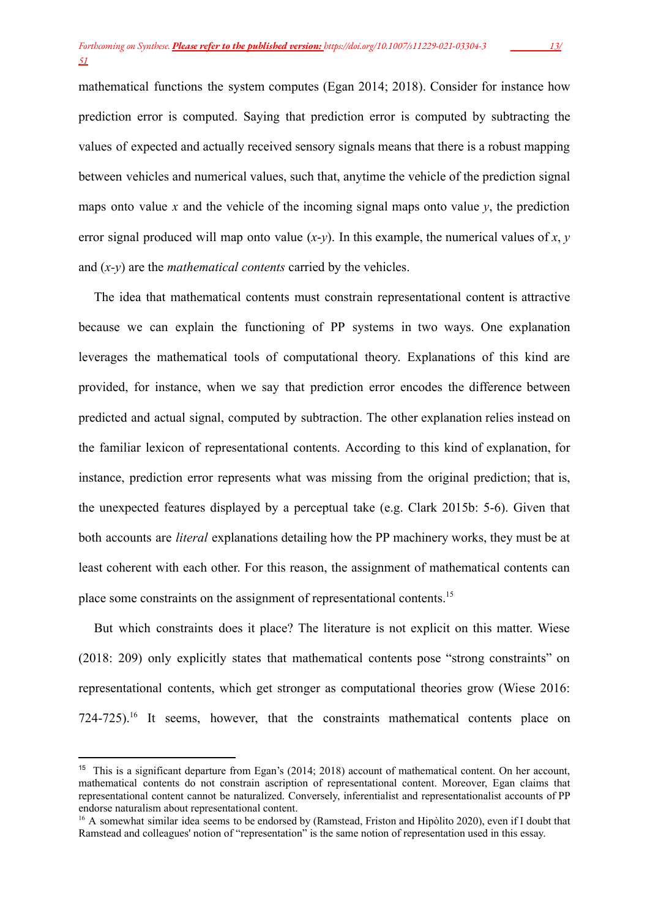mathematical functions the system computes (Egan 2014; 2018). Consider for instance how prediction error is computed. Saying that prediction error is computed by subtracting the values of expected and actually received sensory signals means that there is a robust mapping between vehicles and numerical values, such that, anytime the vehicle of the prediction signal maps onto value  $x$  and the vehicle of the incoming signal maps onto value  $y$ , the prediction error signal produced will map onto value  $(x-y)$ . In this example, the numerical values of *x*, *y* and (*x-y*) are the *mathematical contents* carried by the vehicles.

The idea that mathematical contents must constrain representational content is attractive because we can explain the functioning of PP systems in two ways. One explanation leverages the mathematical tools of computational theory. Explanations of this kind are provided, for instance, when we say that prediction error encodes the difference between predicted and actual signal, computed by subtraction. The other explanation relies instead on the familiar lexicon of representational contents. According to this kind of explanation, for instance, prediction error represents what was missing from the original prediction; that is, the unexpected features displayed by a perceptual take (e.g. Clark 2015b: 5-6). Given that both accounts are *literal* explanations detailing how the PP machinery works, they must be at least coherent with each other. For this reason, the assignment of mathematical contents can place some constraints on the assignment of representational contents.<sup>15</sup>

But which constraints does it place? The literature is not explicit on this matter. Wiese (2018: 209) only explicitly states that mathematical contents pose "strong constraints" on representational contents, which get stronger as computational theories grow (Wiese 2016: 724-725).<sup>16</sup> It seems, however, that the constraints mathematical contents place on

<sup>15</sup> This is a significant departure from Egan's (2014; 2018) account of mathematical content. On her account, mathematical contents do not constrain ascription of representational content. Moreover, Egan claims that representational content cannot be naturalized. Conversely, inferentialist and representationalist accounts of PP endorse naturalism about representational content.

<sup>&</sup>lt;sup>16</sup> A somewhat similar idea seems to be endorsed by (Ramstead, Friston and Hipòlito 2020), even if I doubt that Ramstead and colleagues' notion of "representation" is the same notion of representation used in this essay.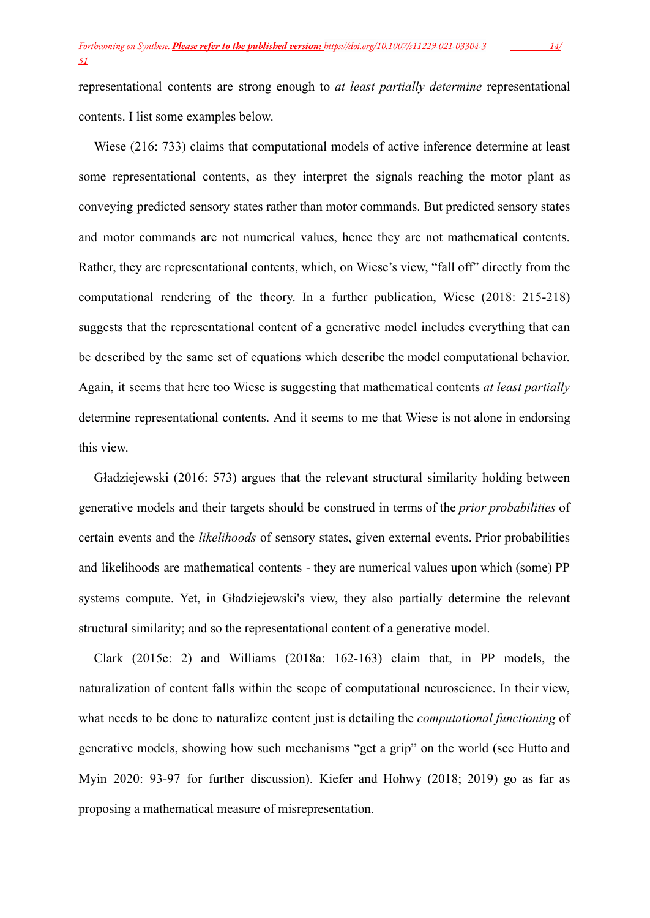representational contents are strong enough to *at least partially determine* representational contents. I list some examples below.

Wiese (216: 733) claims that computational models of active inference determine at least some representational contents, as they interpret the signals reaching the motor plant as conveying predicted sensory states rather than motor commands. But predicted sensory states and motor commands are not numerical values, hence they are not mathematical contents. Rather, they are representational contents, which, on Wiese's view, "fall off" directly from the computational rendering of the theory. In a further publication, Wiese (2018: 215-218) suggests that the representational content of a generative model includes everything that can be described by the same set of equations which describe the model computational behavior. Again, it seems that here too Wiese is suggesting that mathematical contents *at least partially* determine representational contents. And it seems to me that Wiese is not alone in endorsing this view.

Gładziejewski (2016: 573) argues that the relevant structural similarity holding between generative models and their targets should be construed in terms of the *prior probabilities* of certain events and the *likelihoods* of sensory states, given external events. Prior probabilities and likelihoods are mathematical contents - they are numerical values upon which (some) PP systems compute. Yet, in Gładziejewski's view, they also partially determine the relevant structural similarity; and so the representational content of a generative model.

Clark (2015c: 2) and Williams (2018a: 162-163) claim that, in PP models, the naturalization of content falls within the scope of computational neuroscience. In their view, what needs to be done to naturalize content just is detailing the *computational functioning* of generative models, showing how such mechanisms "get a grip" on the world (see Hutto and Myin 2020: 93-97 for further discussion). Kiefer and Hohwy (2018; 2019) go as far as proposing a mathematical measure of misrepresentation.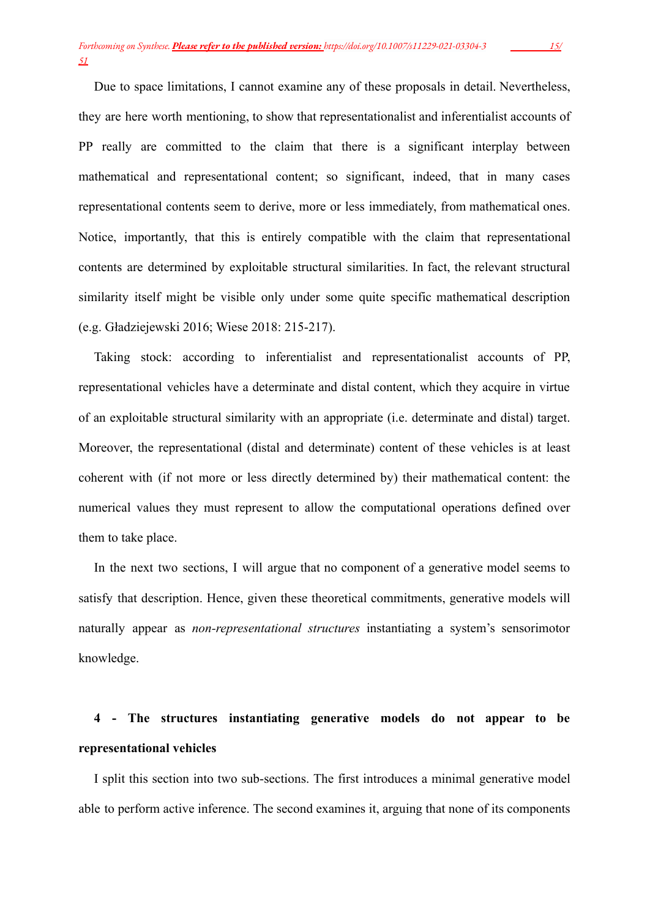Due to space limitations, I cannot examine any of these proposals in detail. Nevertheless, they are here worth mentioning, to show that representationalist and inferentialist accounts of PP really are committed to the claim that there is a significant interplay between mathematical and representational content; so significant, indeed, that in many cases representational contents seem to derive, more or less immediately, from mathematical ones. Notice, importantly, that this is entirely compatible with the claim that representational contents are determined by exploitable structural similarities. In fact, the relevant structural similarity itself might be visible only under some quite specific mathematical description (e.g. Gładziejewski 2016; Wiese 2018: 215-217).

Taking stock: according to inferentialist and representationalist accounts of PP, representational vehicles have a determinate and distal content, which they acquire in virtue of an exploitable structural similarity with an appropriate (i.e. determinate and distal) target. Moreover, the representational (distal and determinate) content of these vehicles is at least coherent with (if not more or less directly determined by) their mathematical content: the numerical values they must represent to allow the computational operations defined over them to take place.

In the next two sections, I will argue that no component of a generative model seems to satisfy that description. Hence, given these theoretical commitments, generative models will naturally appear as *non-representational structures* instantiating a system's sensorimotor knowledge.

# **4 - The structures instantiating generative models do not appear to be representational vehicles**

I split this section into two sub-sections. The first introduces a minimal generative model able to perform active inference. The second examines it, arguing that none of its components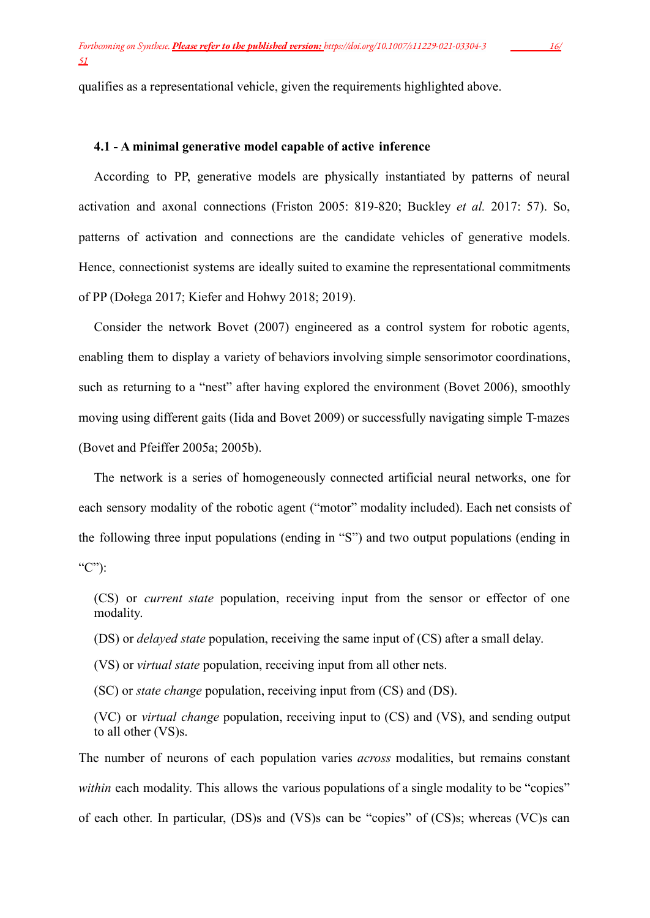qualifies as a representational vehicle, given the requirements highlighted above.

### **4.1 - A minimal generative model capable of active inference**

According to PP, generative models are physically instantiated by patterns of neural activation and axonal connections (Friston 2005: 819-820; Buckley *et al.* 2017: 57). So, patterns of activation and connections are the candidate vehicles of generative models. Hence, connectionist systems are ideally suited to examine the representational commitments of PP (Dołega 2017; Kiefer and Hohwy 2018; 2019).

Consider the network Bovet (2007) engineered as a control system for robotic agents, enabling them to display a variety of behaviors involving simple sensorimotor coordinations, such as returning to a "nest" after having explored the environment (Bovet 2006), smoothly moving using different gaits (Iida and Bovet 2009) or successfully navigating simple T-mazes (Bovet and Pfeiffer 2005a; 2005b).

The network is a series of homogeneously connected artificial neural networks, one for each sensory modality of the robotic agent ("motor" modality included). Each net consists of the following three input populations (ending in "S") and two output populations (ending in "C"):

(CS) or *current state* population, receiving input from the sensor or effector of one modality.

(DS) or *delayed state* population, receiving the same input of (CS) after a small delay.

(VS) or *virtual state* population, receiving input from all other nets.

(SC) or *state change* population, receiving input from (CS) and (DS).

(VC) or *virtual change* population, receiving input to (CS) and (VS), and sending output to all other (VS)s.

The number of neurons of each population varies *across* modalities, but remains constant *within* each modality. This allows the various populations of a single modality to be "copies" of each other. In particular, (DS)s and (VS)s can be "copies" of (CS)s; whereas (VC)s can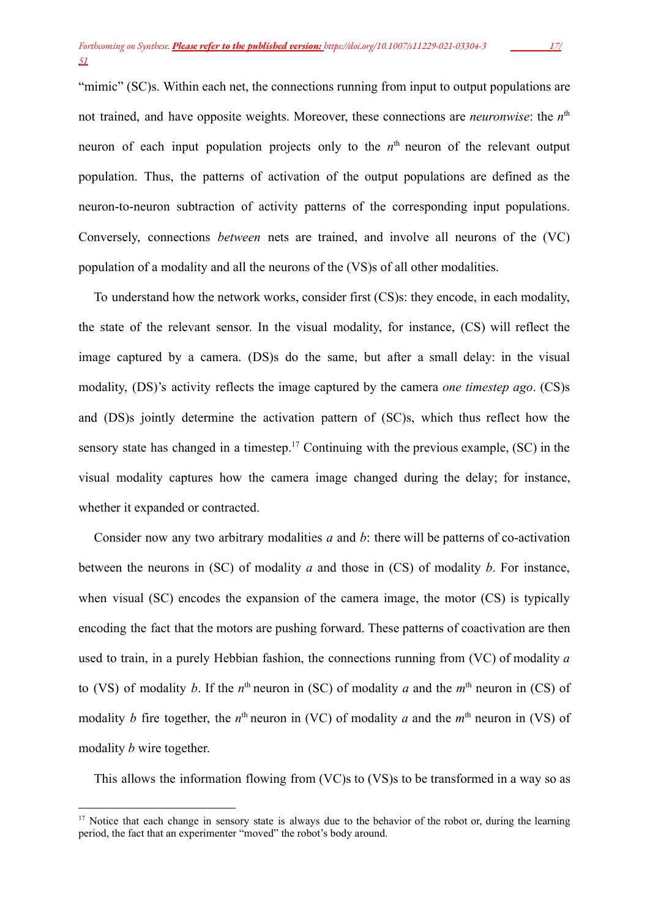"mimic" (SC)s. Within each net, the connections running from input to output populations are not trained, and have opposite weights. Moreover, these connections are *neuronwise*: the n<sup>th</sup> neuron of each input population projects only to the  $n<sup>th</sup>$  neuron of the relevant output population. Thus, the patterns of activation of the output populations are defined as the neuron-to-neuron subtraction of activity patterns of the corresponding input populations. Conversely, connections *between* nets are trained, and involve all neurons of the (VC) population of a modality and all the neurons of the (VS)s of all other modalities.

To understand how the network works, consider first (CS)s: they encode, in each modality, the state of the relevant sensor. In the visual modality, for instance, (CS) will reflect the image captured by a camera. (DS)s do the same, but after a small delay: in the visual modality, (DS)'s activity reflects the image captured by the camera *one timestep ago*. (CS)s and (DS)s jointly determine the activation pattern of (SC)s, which thus reflect how the sensory state has changed in a timestep.<sup>17</sup> Continuing with the previous example,  $(SC)$  in the visual modality captures how the camera image changed during the delay; for instance, whether it expanded or contracted.

Consider now any two arbitrary modalities *a* and *b*: there will be patterns of co-activation between the neurons in (SC) of modality *a* and those in (CS) of modality *b*. For instance, when visual (SC) encodes the expansion of the camera image, the motor (CS) is typically encoding the fact that the motors are pushing forward. These patterns of coactivation are then used to train, in a purely Hebbian fashion, the connections running from (VC) of modality *a* to (VS) of modality *b*. If the *n*<sup>th</sup> neuron in (SC) of modality *a* and the *m*<sup>th</sup> neuron in (CS) of modality *b* fire together, the *n*<sup>th</sup> neuron in (VC) of modality *a* and the *m*<sup>th</sup> neuron in (VS) of modality *b* wire together.

This allows the information flowing from (VC)s to (VS)s to be transformed in a way so as

<sup>&</sup>lt;sup>17</sup> Notice that each change in sensory state is always due to the behavior of the robot or, during the learning period, the fact that an experimenter "moved" the robot's body around.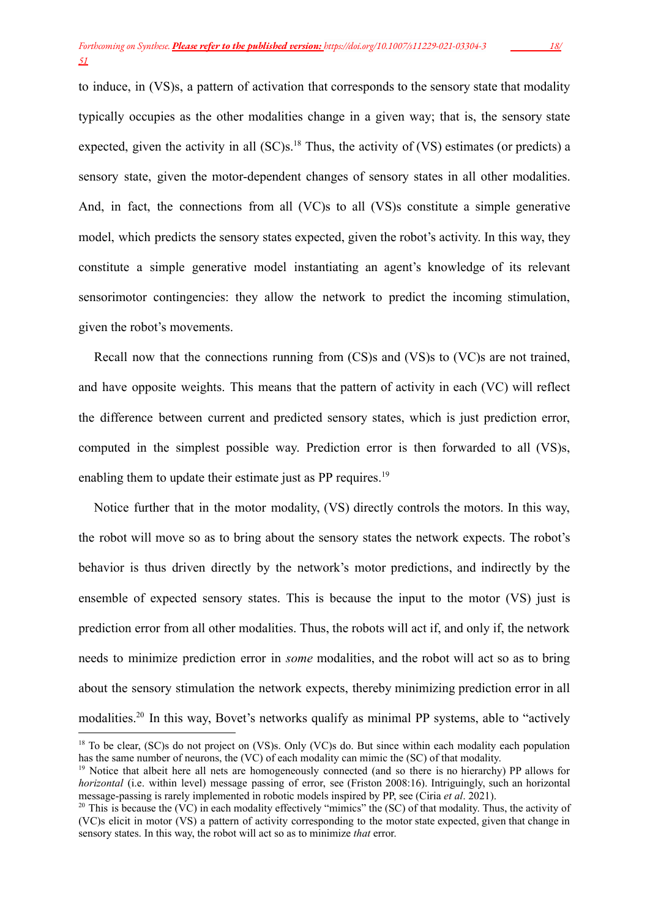to induce, in (VS)s, a pattern of activation that corresponds to the sensory state that modality typically occupies as the other modalities change in a given way; that is, the sensory state expected, given the activity in all  $(SC)s$ <sup>18</sup>. Thus, the activity of  $(VS)$  estimates (or predicts) a sensory state, given the motor-dependent changes of sensory states in all other modalities. And, in fact, the connections from all (VC)s to all (VS)s constitute a simple generative model, which predicts the sensory states expected, given the robot's activity. In this way, they constitute a simple generative model instantiating an agent's knowledge of its relevant sensorimotor contingencies: they allow the network to predict the incoming stimulation, given the robot's movements.

Recall now that the connections running from (CS)s and (VS)s to (VC)s are not trained, and have opposite weights. This means that the pattern of activity in each (VC) will reflect the difference between current and predicted sensory states, which is just prediction error, computed in the simplest possible way. Prediction error is then forwarded to all (VS)s, enabling them to update their estimate just as PP requires.<sup>19</sup>

Notice further that in the motor modality, (VS) directly controls the motors. In this way, the robot will move so as to bring about the sensory states the network expects. The robot's behavior is thus driven directly by the network's motor predictions, and indirectly by the ensemble of expected sensory states. This is because the input to the motor (VS) just is prediction error from all other modalities. Thus, the robots will act if, and only if, the network needs to minimize prediction error in *some* modalities, and the robot will act so as to bring about the sensory stimulation the network expects, thereby minimizing prediction error in all modalities.<sup>20</sup> In this way, Bovet's networks qualify as minimal PP systems, able to "actively

<sup>&</sup>lt;sup>18</sup> To be clear, (SC)s do not project on (VS)s. Only (VC)s do. But since within each modality each population has the same number of neurons, the (VC) of each modality can mimic the (SC) of that modality.

<sup>&</sup>lt;sup>19</sup> Notice that albeit here all nets are homogeneously connected (and so there is no hierarchy) PP allows for *horizontal* (i.e. within level) message passing of error, see (Friston 2008:16). Intriguingly, such an horizontal message-passing is rarely implemented in robotic models inspired by PP, see (Ciria *et al*. 2021).

<sup>&</sup>lt;sup>20</sup> This is because the (VC) in each modality effectively "mimics" the (SC) of that modality. Thus, the activity of (VC)s elicit in motor (VS) a pattern of activity corresponding to the motor state expected, given that change in sensory states. In this way, the robot will act so as to minimize *that* error.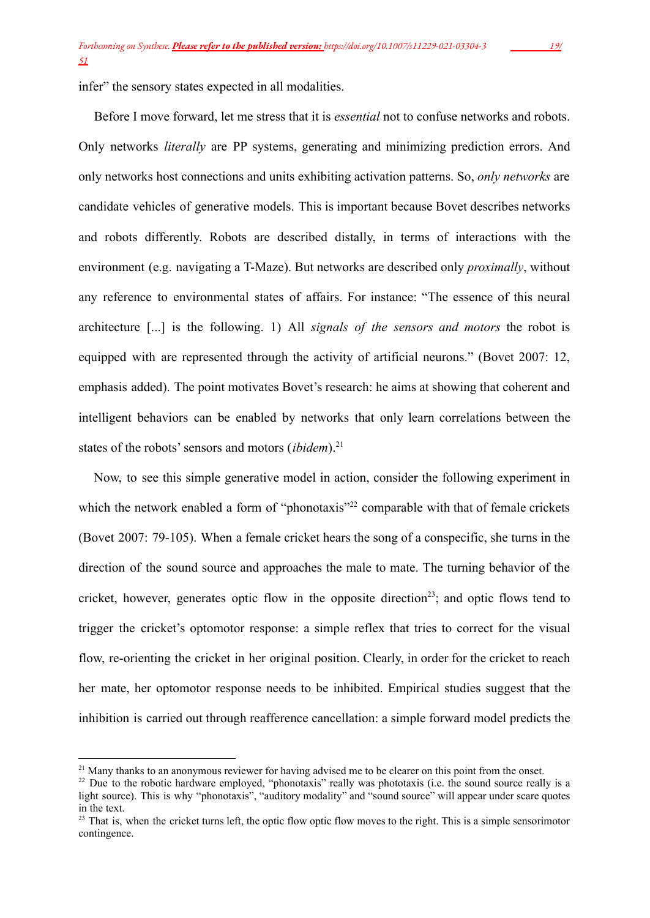infer" the sensory states expected in all modalities.

Before I move forward, let me stress that it is *essential* not to confuse networks and robots. Only networks *literally* are PP systems, generating and minimizing prediction errors. And only networks host connections and units exhibiting activation patterns. So, *only networks* are candidate vehicles of generative models. This is important because Bovet describes networks and robots differently. Robots are described distally, in terms of interactions with the environment (e.g. navigating a T-Maze). But networks are described only *proximally*, without any reference to environmental states of affairs. For instance: "The essence of this neural architecture [...] is the following. 1) All *signals of the sensors and motors* the robot is equipped with are represented through the activity of artificial neurons." (Bovet 2007: 12, emphasis added). The point motivates Bovet's research: he aims at showing that coherent and intelligent behaviors can be enabled by networks that only learn correlations between the states of the robots' sensors and motors *(ibidem*).<sup>21</sup>

Now, to see this simple generative model in action, consider the following experiment in which the network enabled a form of "phonotaxis"<sup>22</sup> comparable with that of female crickets (Bovet 2007: 79-105). When a female cricket hears the song of a conspecific, she turns in the direction of the sound source and approaches the male to mate. The turning behavior of the cricket, however, generates optic flow in the opposite direction<sup>23</sup>; and optic flows tend to trigger the cricket's optomotor response: a simple reflex that tries to correct for the visual flow, re-orienting the cricket in her original position. Clearly, in order for the cricket to reach her mate, her optomotor response needs to be inhibited. Empirical studies suggest that the inhibition is carried out through reafference cancellation: a simple forward model predicts the

 $21$  Many thanks to an anonymous reviewer for having advised me to be clearer on this point from the onset.

<sup>&</sup>lt;sup>22</sup> Due to the robotic hardware employed, "phonotaxis" really was phototaxis (i.e. the sound source really is a light source). This is why "phonotaxis", "auditory modality" and "sound source" will appear under scare quotes in the text.

 $23$  That is, when the cricket turns left, the optic flow optic flow moves to the right. This is a simple sensorimotor contingence.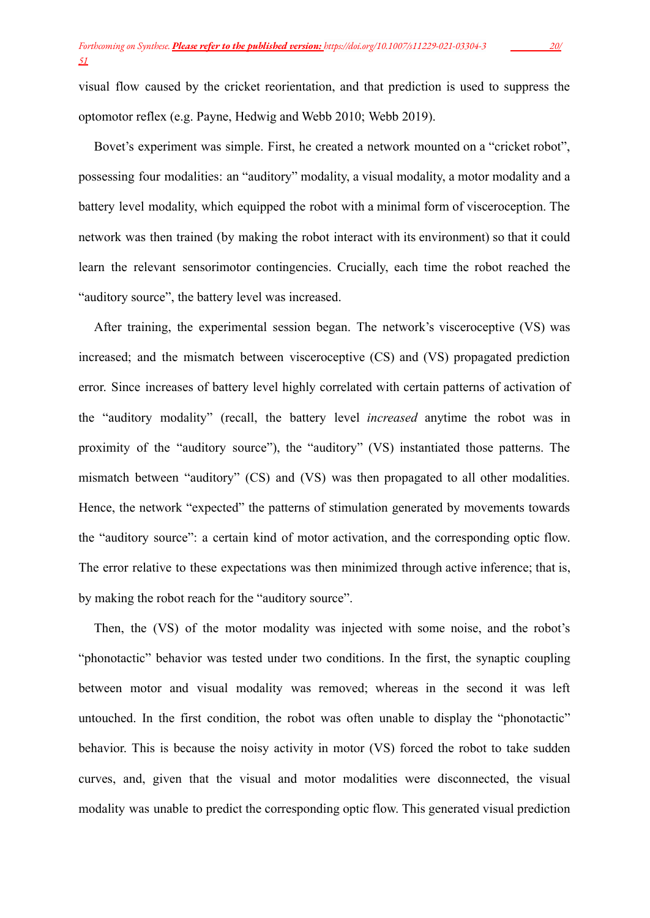visual flow caused by the cricket reorientation, and that prediction is used to suppress the optomotor reflex (e.g. Payne, Hedwig and Webb 2010; Webb 2019).

Bovet's experiment was simple. First, he created a network mounted on a "cricket robot", possessing four modalities: an "auditory" modality, a visual modality, a motor modality and a battery level modality, which equipped the robot with a minimal form of visceroception. The network was then trained (by making the robot interact with its environment) so that it could learn the relevant sensorimotor contingencies. Crucially, each time the robot reached the "auditory source", the battery level was increased.

After training, the experimental session began. The network's visceroceptive (VS) was increased; and the mismatch between visceroceptive (CS) and (VS) propagated prediction error. Since increases of battery level highly correlated with certain patterns of activation of the "auditory modality" (recall, the battery level *increased* anytime the robot was in proximity of the "auditory source"), the "auditory" (VS) instantiated those patterns. The mismatch between "auditory" (CS) and (VS) was then propagated to all other modalities. Hence, the network "expected" the patterns of stimulation generated by movements towards the "auditory source": a certain kind of motor activation, and the corresponding optic flow. The error relative to these expectations was then minimized through active inference; that is, by making the robot reach for the "auditory source".

Then, the (VS) of the motor modality was injected with some noise, and the robot's "phonotactic" behavior was tested under two conditions. In the first, the synaptic coupling between motor and visual modality was removed; whereas in the second it was left untouched. In the first condition, the robot was often unable to display the "phonotactic" behavior. This is because the noisy activity in motor (VS) forced the robot to take sudden curves, and, given that the visual and motor modalities were disconnected, the visual modality was unable to predict the corresponding optic flow. This generated visual prediction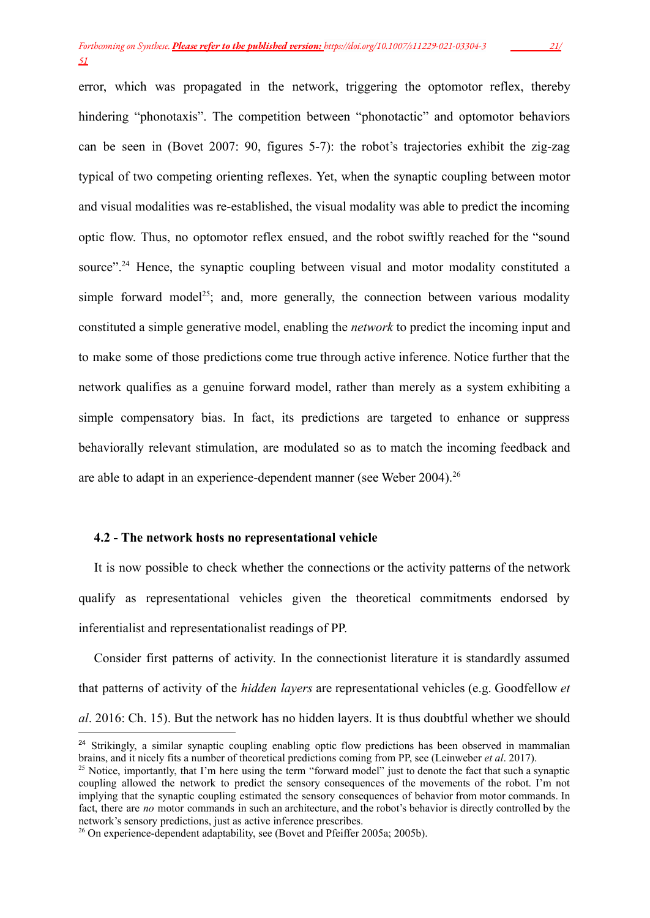error, which was propagated in the network, triggering the optomotor reflex, thereby hindering "phonotaxis". The competition between "phonotactic" and optomotor behaviors can be seen in (Bovet 2007: 90, figures 5-7): the robot's trajectories exhibit the zig-zag typical of two competing orienting reflexes. Yet, when the synaptic coupling between motor and visual modalities was re-established, the visual modality was able to predict the incoming optic flow. Thus, no optomotor reflex ensued, and the robot swiftly reached for the "sound source".<sup>24</sup> Hence, the synaptic coupling between visual and motor modality constituted a simple forward model<sup>25</sup>; and, more generally, the connection between various modality constituted a simple generative model, enabling the *network* to predict the incoming input and to make some of those predictions come true through active inference. Notice further that the network qualifies as a genuine forward model, rather than merely as a system exhibiting a simple compensatory bias. In fact, its predictions are targeted to enhance or suppress behaviorally relevant stimulation, are modulated so as to match the incoming feedback and are able to adapt in an experience-dependent manner (see Weber 2004).<sup>26</sup>

## **4.2 - The network hosts no representational vehicle**

It is now possible to check whether the connections or the activity patterns of the network qualify as representational vehicles given the theoretical commitments endorsed by inferentialist and representationalist readings of PP.

Consider first patterns of activity. In the connectionist literature it is standardly assumed that patterns of activity of the *hidden layers* are representational vehicles (e.g. Goodfellow *et al*. 2016: Ch. 15). But the network has no hidden layers. It is thus doubtful whether we should

<sup>&</sup>lt;sup>24</sup> Strikingly, a similar synaptic coupling enabling optic flow predictions has been observed in mammalian brains, and it nicely fits a number of theoretical predictions coming from PP, see (Leinweber *et al*. 2017).

<sup>&</sup>lt;sup>25</sup> Notice, importantly, that I'm here using the term "forward model" just to denote the fact that such a synaptic coupling allowed the network to predict the sensory consequences of the movements of the robot. I'm not implying that the synaptic coupling estimated the sensory consequences of behavior from motor commands. In fact, there are *no* motor commands in such an architecture, and the robot's behavior is directly controlled by the network's sensory predictions, just as active inference prescribes.

<sup>&</sup>lt;sup>26</sup> On experience-dependent adaptability, see (Bovet and Pfeiffer 2005a; 2005b).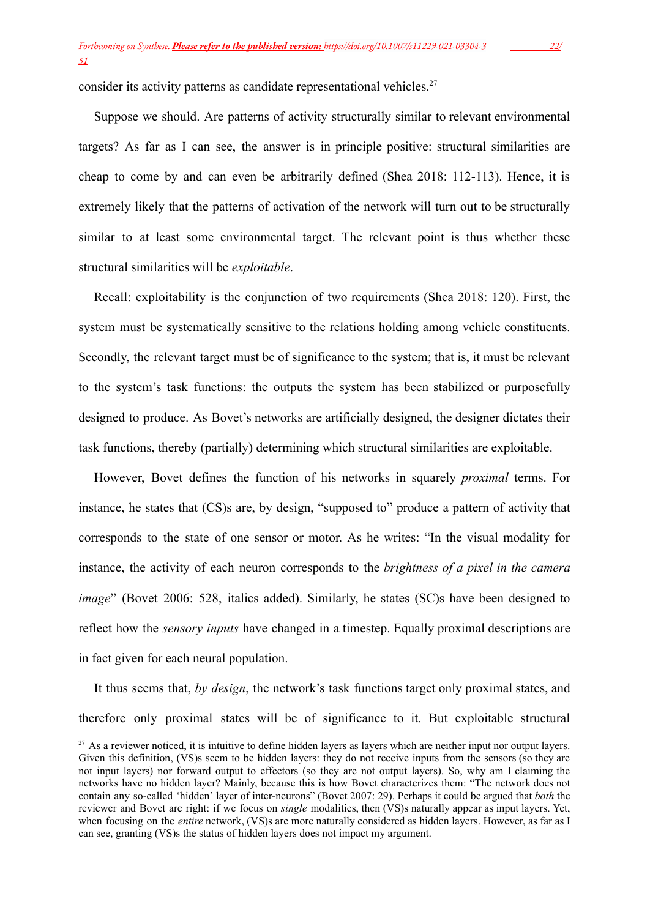consider its activity patterns as candidate representational vehicles.<sup>27</sup>

Suppose we should. Are patterns of activity structurally similar to relevant environmental targets? As far as I can see, the answer is in principle positive: structural similarities are cheap to come by and can even be arbitrarily defined (Shea 2018: 112-113). Hence, it is extremely likely that the patterns of activation of the network will turn out to be structurally similar to at least some environmental target. The relevant point is thus whether these structural similarities will be *exploitable*.

Recall: exploitability is the conjunction of two requirements (Shea 2018: 120). First, the system must be systematically sensitive to the relations holding among vehicle constituents. Secondly, the relevant target must be of significance to the system; that is, it must be relevant to the system's task functions: the outputs the system has been stabilized or purposefully designed to produce. As Bovet's networks are artificially designed, the designer dictates their task functions, thereby (partially) determining which structural similarities are exploitable.

However, Bovet defines the function of his networks in squarely *proximal* terms. For instance, he states that (CS)s are, by design, "supposed to" produce a pattern of activity that corresponds to the state of one sensor or motor. As he writes: "In the visual modality for instance, the activity of each neuron corresponds to the *brightness of a pixel in the camera image*" (Bovet 2006: 528, italics added). Similarly, he states (SC)s have been designed to reflect how the *sensory inputs* have changed in a timestep. Equally proximal descriptions are in fact given for each neural population.

It thus seems that, *by design*, the network's task functions target only proximal states, and therefore only proximal states will be of significance to it. But exploitable structural

 $27$  As a reviewer noticed, it is intuitive to define hidden layers as layers which are neither input nor output layers. Given this definition, (VS)s seem to be hidden layers: they do not receive inputs from the sensors (so they are not input layers) nor forward output to effectors (so they are not output layers). So, why am I claiming the networks have no hidden layer? Mainly, because this is how Bovet characterizes them: "The network does not contain any so-called 'hidden' layer of inter-neurons" (Bovet 2007: 29). Perhaps it could be argued that *both* the reviewer and Bovet are right: if we focus on *single* modalities, then (VS)s naturally appear as input layers. Yet, when focusing on the *entire* network, (VS)s are more naturally considered as hidden layers. However, as far as I can see, granting (VS)s the status of hidden layers does not impact my argument.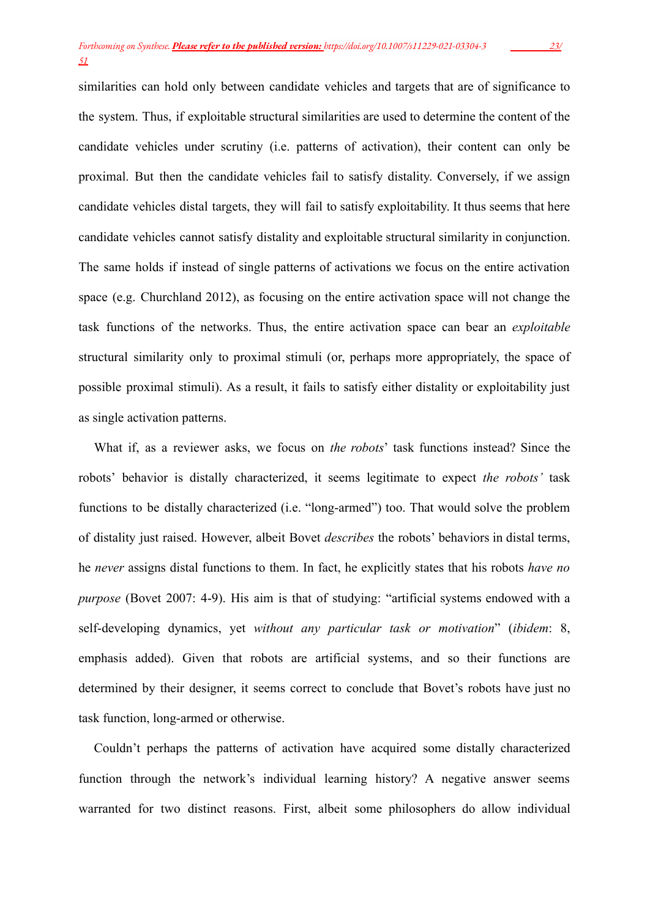similarities can hold only between candidate vehicles and targets that are of significance to the system. Thus, if exploitable structural similarities are used to determine the content of the candidate vehicles under scrutiny (i.e. patterns of activation), their content can only be proximal. But then the candidate vehicles fail to satisfy distality. Conversely, if we assign candidate vehicles distal targets, they will fail to satisfy exploitability. It thus seems that here candidate vehicles cannot satisfy distality and exploitable structural similarity in conjunction. The same holds if instead of single patterns of activations we focus on the entire activation space (e.g. Churchland 2012), as focusing on the entire activation space will not change the task functions of the networks. Thus, the entire activation space can bear an *exploitable* structural similarity only to proximal stimuli (or, perhaps more appropriately, the space of possible proximal stimuli). As a result, it fails to satisfy either distality or exploitability just as single activation patterns.

What if, as a reviewer asks, we focus on *the robots*' task functions instead? Since the robots' behavior is distally characterized, it seems legitimate to expect *the robots'* task functions to be distally characterized (i.e. "long-armed") too. That would solve the problem of distality just raised. However, albeit Bovet *describes* the robots' behaviors in distal terms, he *never* assigns distal functions to them. In fact, he explicitly states that his robots *have no purpose* (Bovet 2007: 4-9). His aim is that of studying: "artificial systems endowed with a self-developing dynamics, yet *without any particular task or motivation*" (*ibidem*: 8, emphasis added). Given that robots are artificial systems, and so their functions are determined by their designer, it seems correct to conclude that Bovet's robots have just no task function, long-armed or otherwise.

Couldn't perhaps the patterns of activation have acquired some distally characterized function through the network's individual learning history? A negative answer seems warranted for two distinct reasons. First, albeit some philosophers do allow individual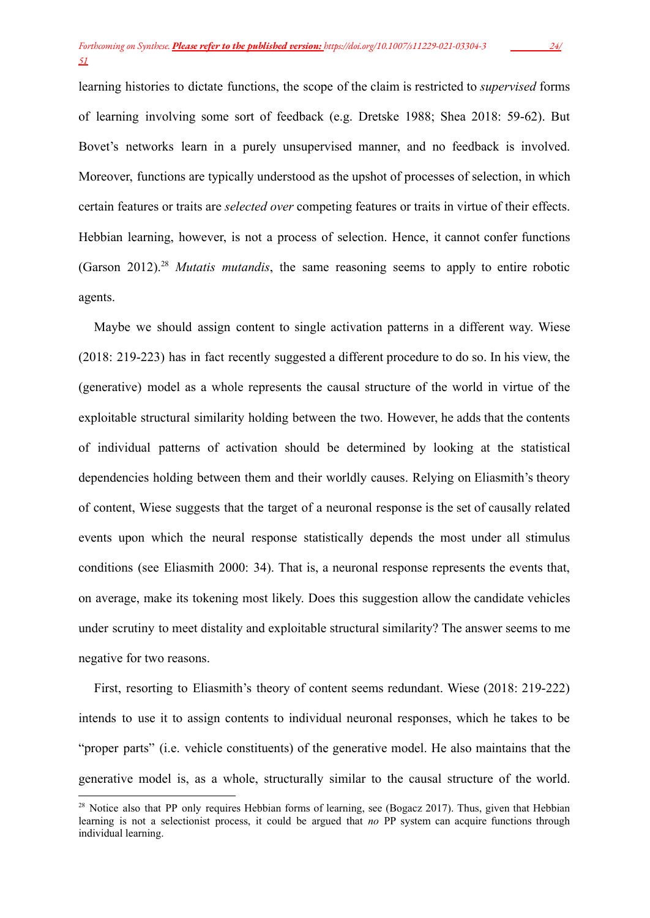learning histories to dictate functions, the scope of the claim is restricted to *supervised* forms of learning involving some sort of feedback (e.g. Dretske 1988; Shea 2018: 59-62). But Bovet's networks learn in a purely unsupervised manner, and no feedback is involved. Moreover, functions are typically understood as the upshot of processes of selection, in which certain features or traits are *selected over* competing features or traits in virtue of their effects. Hebbian learning, however, is not a process of selection. Hence, it cannot confer functions (Garson 2012).<sup>28</sup> *Mutatis mutandis*, the same reasoning seems to apply to entire robotic agents.

Maybe we should assign content to single activation patterns in a different way. Wiese (2018: 219-223) has in fact recently suggested a different procedure to do so. In his view, the (generative) model as a whole represents the causal structure of the world in virtue of the exploitable structural similarity holding between the two. However, he adds that the contents of individual patterns of activation should be determined by looking at the statistical dependencies holding between them and their worldly causes. Relying on Eliasmith's theory of content, Wiese suggests that the target of a neuronal response is the set of causally related events upon which the neural response statistically depends the most under all stimulus conditions (see Eliasmith 2000: 34). That is, a neuronal response represents the events that, on average, make its tokening most likely. Does this suggestion allow the candidate vehicles under scrutiny to meet distality and exploitable structural similarity? The answer seems to me negative for two reasons.

First, resorting to Eliasmith's theory of content seems redundant. Wiese (2018: 219-222) intends to use it to assign contents to individual neuronal responses, which he takes to be "proper parts" (i.e. vehicle constituents) of the generative model. He also maintains that the generative model is, as a whole, structurally similar to the causal structure of the world.

<sup>&</sup>lt;sup>28</sup> Notice also that PP only requires Hebbian forms of learning, see (Bogacz 2017). Thus, given that Hebbian learning is not a selectionist process, it could be argued that *no* PP system can acquire functions through individual learning.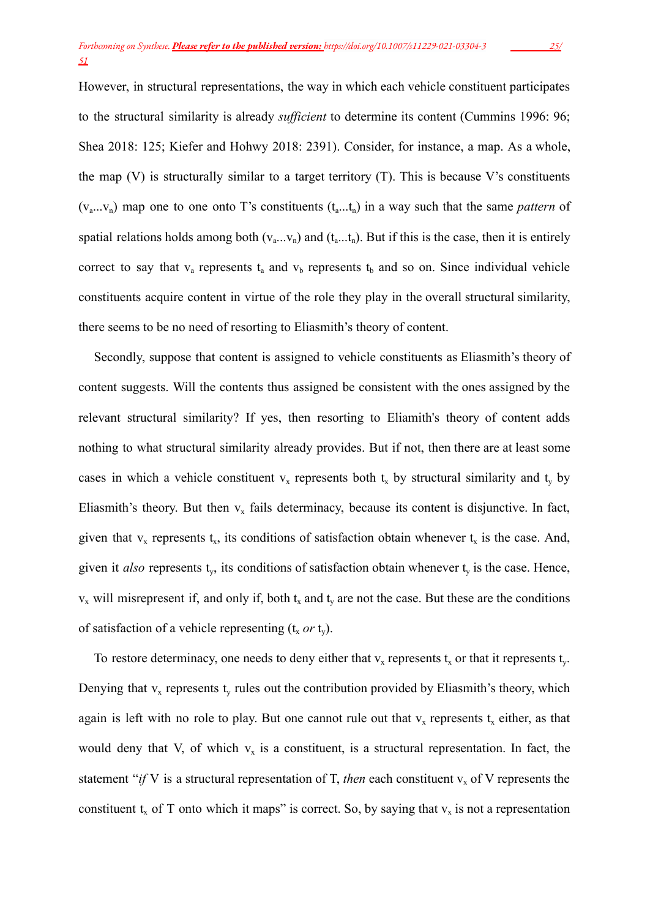However, in structural representations, the way in which each vehicle constituent participates to the structural similarity is already *sufficient* to determine its content (Cummins 1996: 96; Shea 2018: 125; Kiefer and Hohwy 2018: 2391). Consider, for instance, a map. As a whole, the map  $(V)$  is structurally similar to a target territory  $(T)$ . This is because V's constituents  $(v_a...v_n)$  map one to one onto T's constituents  $(t_a...t_n)$  in a way such that the same *pattern* of spatial relations holds among both  $(v_a...v_n)$  and  $(t_a...t_n)$ . But if this is the case, then it is entirely correct to say that  $v_a$  represents  $t_a$  and  $v_b$  represents  $t_b$  and so on. Since individual vehicle constituents acquire content in virtue of the role they play in the overall structural similarity, there seems to be no need of resorting to Eliasmith's theory of content.

Secondly, suppose that content is assigned to vehicle constituents as Eliasmith's theory of content suggests. Will the contents thus assigned be consistent with the ones assigned by the relevant structural similarity? If yes, then resorting to Eliamith's theory of content adds nothing to what structural similarity already provides. But if not, then there are at least some cases in which a vehicle constituent  $v_x$  represents both  $t_x$  by structural similarity and  $t_y$  by Eliasmith's theory. But then  $v_x$  fails determinacy, because its content is disjunctive. In fact, given that  $v_x$  represents  $t_x$ , its conditions of satisfaction obtain whenever  $t_x$  is the case. And, given it *also* represents  $t_y$ , its conditions of satisfaction obtain whenever  $t_y$  is the case. Hence,  $v_x$  will misrepresent if, and only if, both  $t_x$  and  $t_y$  are not the case. But these are the conditions of satisfaction of a vehicle representing  $(t, or t)$ .

To restore determinacy, one needs to deny either that  $v_x$  represents  $t_x$  or that it represents  $t_y$ . Denying that  $v_x$  represents  $t_y$  rules out the contribution provided by Eliasmith's theory, which again is left with no role to play. But one cannot rule out that  $v_x$  represents  $t_x$  either, as that would deny that V, of which  $v_x$  is a constituent, is a structural representation. In fact, the statement "*if* V is a structural representation of T, *then* each constituent  $v_x$  of V represents the constituent  $t_x$  of T onto which it maps" is correct. So, by saying that  $v_x$  is not a representation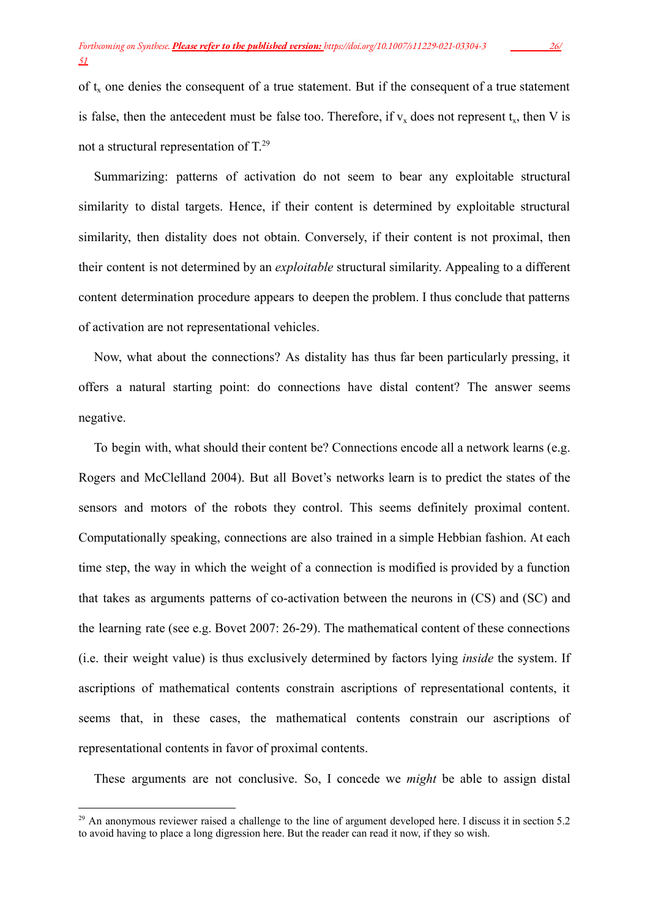of  $t<sub>x</sub>$  one denies the consequent of a true statement. But if the consequent of a true statement is false, then the antecedent must be false too. Therefore, if  $v_x$  does not represent  $t_x$ , then V is not a structural representation of  $T<sup>29</sup>$ 

Summarizing: patterns of activation do not seem to bear any exploitable structural similarity to distal targets. Hence, if their content is determined by exploitable structural similarity, then distality does not obtain. Conversely, if their content is not proximal, then their content is not determined by an *exploitable* structural similarity. Appealing to a different content determination procedure appears to deepen the problem. I thus conclude that patterns of activation are not representational vehicles.

Now, what about the connections? As distality has thus far been particularly pressing, it offers a natural starting point: do connections have distal content? The answer seems negative.

To begin with, what should their content be? Connections encode all a network learns (e.g. Rogers and McClelland 2004). But all Bovet's networks learn is to predict the states of the sensors and motors of the robots they control. This seems definitely proximal content. Computationally speaking, connections are also trained in a simple Hebbian fashion. At each time step, the way in which the weight of a connection is modified is provided by a function that takes as arguments patterns of co-activation between the neurons in (CS) and (SC) and the learning rate (see e.g. Bovet 2007: 26-29). The mathematical content of these connections (i.e. their weight value) is thus exclusively determined by factors lying *inside* the system. If ascriptions of mathematical contents constrain ascriptions of representational contents, it seems that, in these cases, the mathematical contents constrain our ascriptions of representational contents in favor of proximal contents.

These arguments are not conclusive. So, I concede we *might* be able to assign distal

<sup>&</sup>lt;sup>29</sup> An anonymous reviewer raised a challenge to the line of argument developed here. I discuss it in section 5.2 to avoid having to place a long digression here. But the reader can read it now, if they so wish.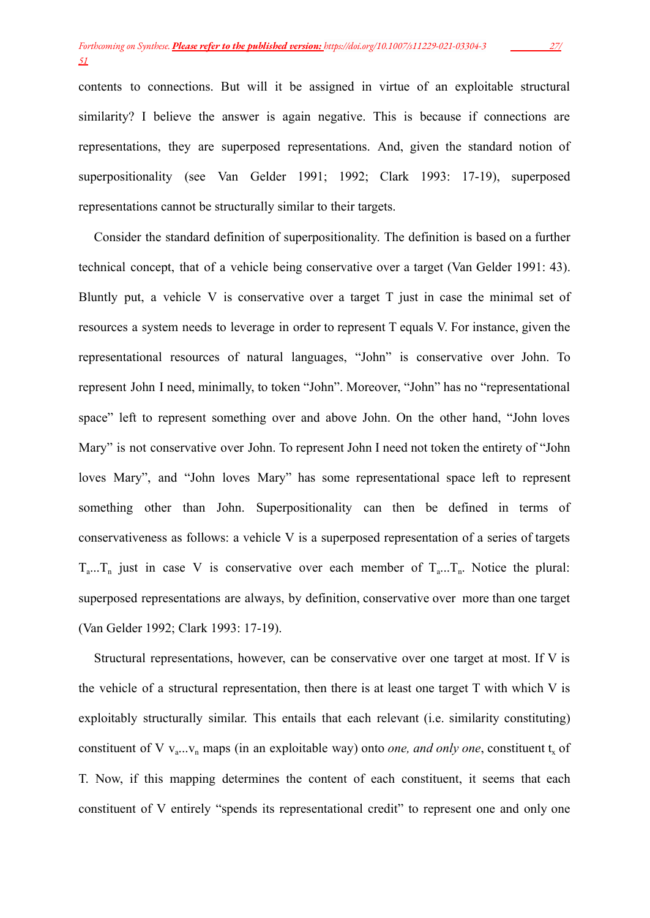contents to connections. But will it be assigned in virtue of an exploitable structural similarity? I believe the answer is again negative. This is because if connections are representations, they are superposed representations. And, given the standard notion of superpositionality (see Van Gelder 1991; 1992; Clark 1993: 17-19), superposed representations cannot be structurally similar to their targets.

Consider the standard definition of superpositionality. The definition is based on a further technical concept, that of a vehicle being conservative over a target (Van Gelder 1991: 43). Bluntly put, a vehicle V is conservative over a target T just in case the minimal set of resources a system needs to leverage in order to represent T equals V. For instance, given the representational resources of natural languages, "John" is conservative over John. To represent John I need, minimally, to token "John". Moreover, "John" has no "representational space" left to represent something over and above John. On the other hand, "John loves Mary" is not conservative over John. To represent John I need not token the entirety of "John loves Mary", and "John loves Mary" has some representational space left to represent something other than John. Superpositionality can then be defined in terms of conservativeness as follows: a vehicle V is a superposed representation of a series of targets  $T_{a}$ ...T<sub>n</sub> just in case V is conservative over each member of  $T_{a}$ ...T<sub>n</sub>. Notice the plural: superposed representations are always, by definition, conservative over more than one target (Van Gelder 1992; Clark 1993: 17-19).

Structural representations, however, can be conservative over one target at most. If V is the vehicle of a structural representation, then there is at least one target T with which V is exploitably structurally similar. This entails that each relevant (i.e. similarity constituting) constituent of V  $v_{\text{a}} \dots v_{\text{n}}$  maps (in an exploitable way) onto *one, and only one*, constituent  $t_x$  of T. Now, if this mapping determines the content of each constituent, it seems that each constituent of V entirely "spends its representational credit" to represent one and only one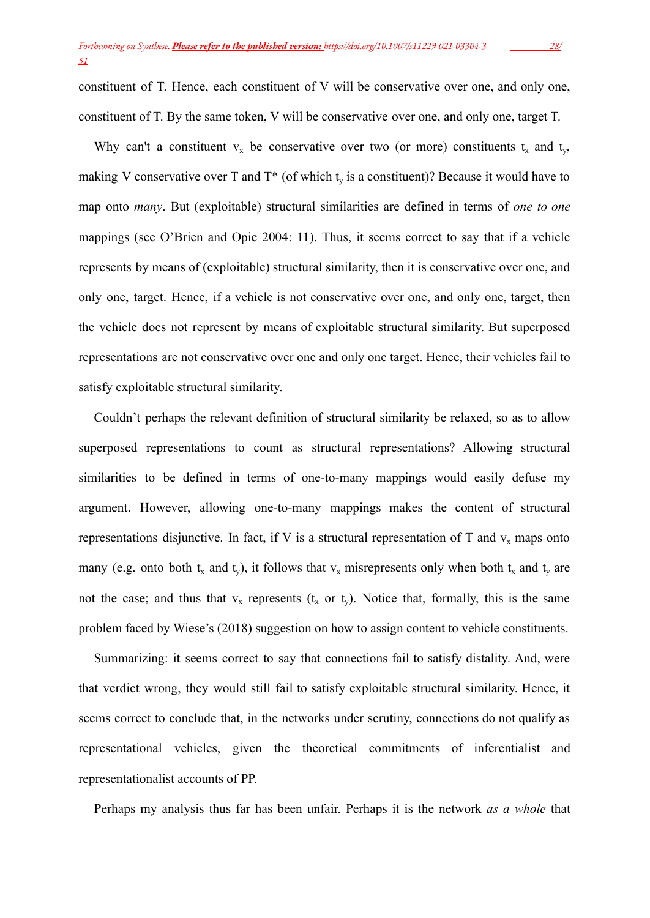constituent of T. Hence, each constituent of V will be conservative over one, and only one, constituent of T. By the same token, V will be conservative over one, and only one, target T.

Why can't a constituent  $v_x$  be conservative over two (or more) constituents  $t_x$  and  $t_y$ , making V conservative over T and  $T^*$  (of which  $t<sub>y</sub>$  is a constituent)? Because it would have to map onto *many*. But (exploitable) structural similarities are defined in terms of *one to one* mappings (see O'Brien and Opie 2004: 11). Thus, it seems correct to say that if a vehicle represents by means of (exploitable) structural similarity, then it is conservative over one, and only one, target. Hence, if a vehicle is not conservative over one, and only one, target, then the vehicle does not represent by means of exploitable structural similarity. But superposed representations are not conservative over one and only one target. Hence, their vehicles fail to satisfy exploitable structural similarity.

Couldn't perhaps the relevant definition of structural similarity be relaxed, so as to allow superposed representations to count as structural representations? Allowing structural similarities to be defined in terms of one-to-many mappings would easily defuse my argument. However, allowing one-to-many mappings makes the content of structural representations disjunctive. In fact, if V is a structural representation of T and  $v_x$  maps onto many (e.g. onto both  $t_x$  and  $t_y$ ), it follows that  $v_x$  misrepresents only when both  $t_x$  and  $t_y$  are not the case; and thus that  $v_x$  represents ( $t_x$  or  $t_y$ ). Notice that, formally, this is the same problem faced by Wiese's (2018) suggestion on how to assign content to vehicle constituents.

Summarizing: it seems correct to say that connections fail to satisfy distality. And, were that verdict wrong, they would still fail to satisfy exploitable structural similarity. Hence, it seems correct to conclude that, in the networks under scrutiny, connections do not qualify as representational vehicles, given the theoretical commitments of inferentialist and representationalist accounts of PP.

Perhaps my analysis thus far has been unfair. Perhaps it is the network *as a whole* that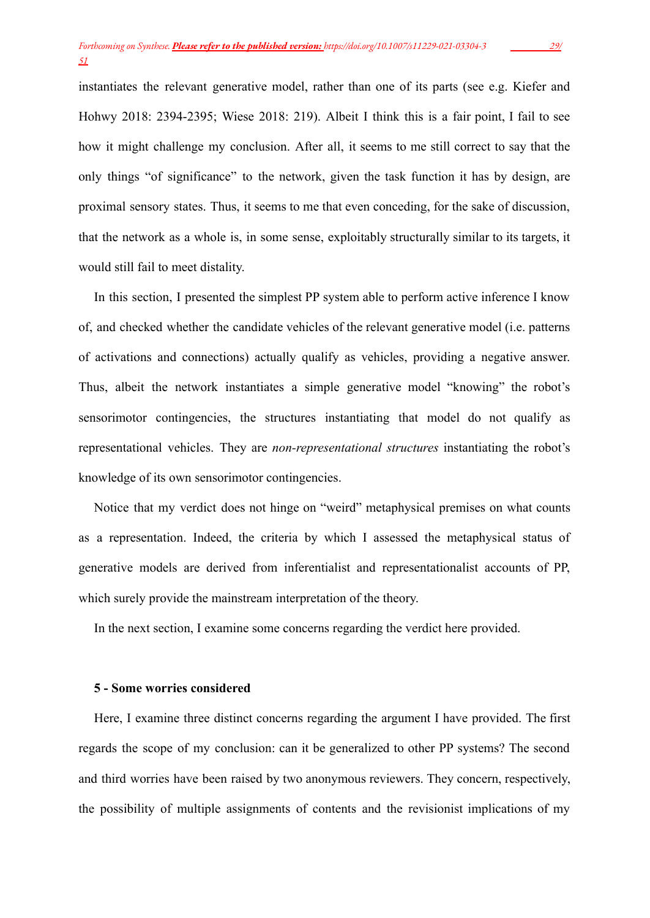instantiates the relevant generative model, rather than one of its parts (see e.g. Kiefer and Hohwy 2018: 2394-2395; Wiese 2018: 219). Albeit I think this is a fair point, I fail to see how it might challenge my conclusion. After all, it seems to me still correct to say that the only things "of significance" to the network, given the task function it has by design, are proximal sensory states. Thus, it seems to me that even conceding, for the sake of discussion, that the network as a whole is, in some sense, exploitably structurally similar to its targets, it would still fail to meet distality.

In this section, I presented the simplest PP system able to perform active inference I know of, and checked whether the candidate vehicles of the relevant generative model (i.e. patterns of activations and connections) actually qualify as vehicles, providing a negative answer. Thus, albeit the network instantiates a simple generative model "knowing" the robot's sensorimotor contingencies, the structures instantiating that model do not qualify as representational vehicles. They are *non-representational structures* instantiating the robot's knowledge of its own sensorimotor contingencies.

Notice that my verdict does not hinge on "weird" metaphysical premises on what counts as a representation. Indeed, the criteria by which I assessed the metaphysical status of generative models are derived from inferentialist and representationalist accounts of PP, which surely provide the mainstream interpretation of the theory.

In the next section, I examine some concerns regarding the verdict here provided.

#### **5 - Some worries considered**

Here, I examine three distinct concerns regarding the argument I have provided. The first regards the scope of my conclusion: can it be generalized to other PP systems? The second and third worries have been raised by two anonymous reviewers. They concern, respectively, the possibility of multiple assignments of contents and the revisionist implications of my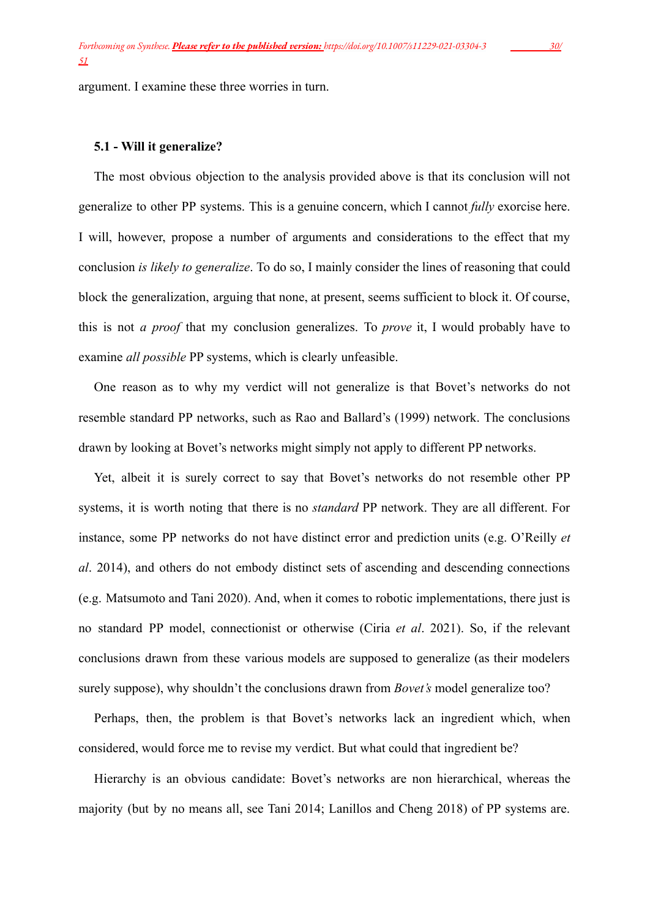argument. I examine these three worries in turn.

#### **5.1 - Will it generalize?**

The most obvious objection to the analysis provided above is that its conclusion will not generalize to other PP systems. This is a genuine concern, which I cannot *fully* exorcise here. I will, however, propose a number of arguments and considerations to the effect that my conclusion *is likely to generalize*. To do so, I mainly consider the lines of reasoning that could block the generalization, arguing that none, at present, seems sufficient to block it. Of course, this is not *a proof* that my conclusion generalizes. To *prove* it, I would probably have to examine *all possible* PP systems, which is clearly unfeasible.

One reason as to why my verdict will not generalize is that Bovet's networks do not resemble standard PP networks, such as Rao and Ballard's (1999) network. The conclusions drawn by looking at Bovet's networks might simply not apply to different PP networks.

Yet, albeit it is surely correct to say that Bovet's networks do not resemble other PP systems, it is worth noting that there is no *standard* PP network. They are all different. For instance, some PP networks do not have distinct error and prediction units (e.g. O'Reilly *et al*. 2014), and others do not embody distinct sets of ascending and descending connections (e.g. Matsumoto and Tani 2020). And, when it comes to robotic implementations, there just is no standard PP model, connectionist or otherwise (Ciria *et al*. 2021). So, if the relevant conclusions drawn from these various models are supposed to generalize (as their modelers surely suppose), why shouldn't the conclusions drawn from *Bovet's* model generalize too?

Perhaps, then, the problem is that Bovet's networks lack an ingredient which, when considered, would force me to revise my verdict. But what could that ingredient be?

Hierarchy is an obvious candidate: Bovet's networks are non hierarchical, whereas the majority (but by no means all, see Tani 2014; Lanillos and Cheng 2018) of PP systems are.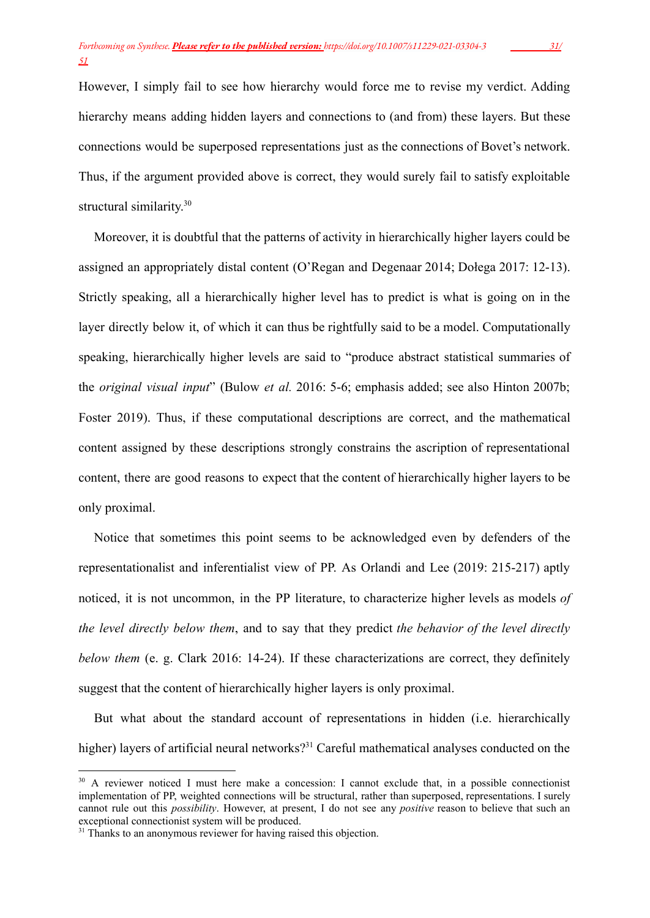However, I simply fail to see how hierarchy would force me to revise my verdict. Adding hierarchy means adding hidden layers and connections to (and from) these layers. But these connections would be superposed representations just as the connections of Bovet's network. Thus, if the argument provided above is correct, they would surely fail to satisfy exploitable structural similarity.<sup>30</sup>

Moreover, it is doubtful that the patterns of activity in hierarchically higher layers could be assigned an appropriately distal content (O'Regan and Degenaar 2014; Dołega 2017: 12-13). Strictly speaking, all a hierarchically higher level has to predict is what is going on in the layer directly below it, of which it can thus be rightfully said to be a model. Computationally speaking, hierarchically higher levels are said to "produce abstract statistical summaries of the *original visual input*" (Bulow *et al.* 2016: 5-6; emphasis added; see also Hinton 2007b; Foster 2019). Thus, if these computational descriptions are correct, and the mathematical content assigned by these descriptions strongly constrains the ascription of representational content, there are good reasons to expect that the content of hierarchically higher layers to be only proximal.

Notice that sometimes this point seems to be acknowledged even by defenders of the representationalist and inferentialist view of PP. As Orlandi and Lee (2019: 215-217) aptly noticed, it is not uncommon, in the PP literature, to characterize higher levels as models *of the level directly below them*, and to say that they predict *the behavior of the level directly below them* (e. g. Clark 2016: 14-24). If these characterizations are correct, they definitely suggest that the content of hierarchically higher layers is only proximal.

But what about the standard account of representations in hidden (i.e. hierarchically higher) layers of artificial neural networks?<sup>31</sup> Careful mathematical analyses conducted on the

<sup>&</sup>lt;sup>30</sup> A reviewer noticed I must here make a concession: I cannot exclude that, in a possible connectionist implementation of PP, weighted connections will be structural, rather than superposed, representations. I surely cannot rule out this *possibility*. However, at present, I do not see any *positive* reason to believe that such an exceptional connectionist system will be produced.

<sup>&</sup>lt;sup>31</sup> Thanks to an anonymous reviewer for having raised this objection.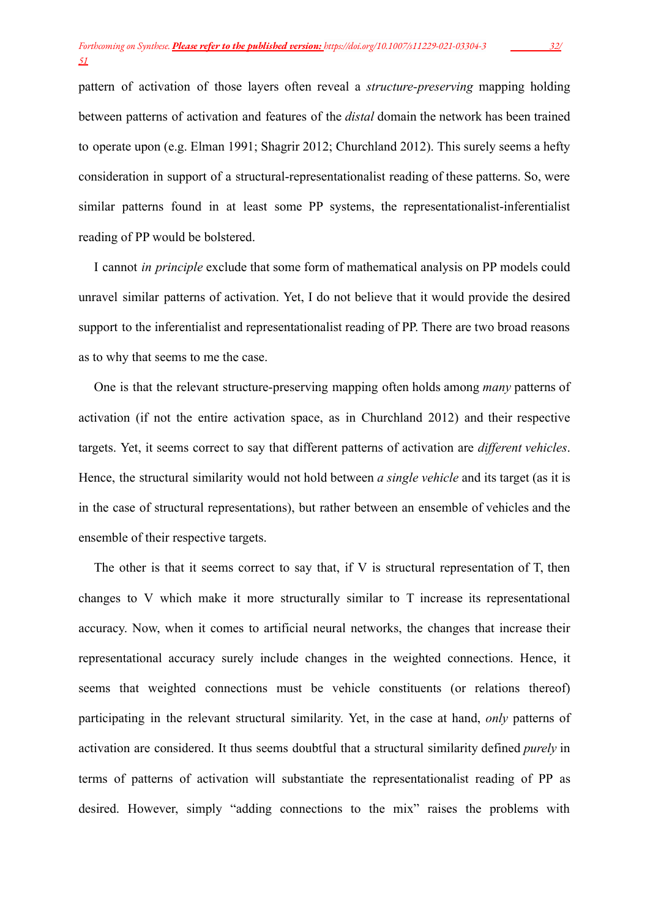pattern of activation of those layers often reveal a *structure-preserving* mapping holding between patterns of activation and features of the *distal* domain the network has been trained to operate upon (e.g. Elman 1991; Shagrir 2012; Churchland 2012). This surely seems a hefty consideration in support of a structural-representationalist reading of these patterns. So, were similar patterns found in at least some PP systems, the representationalist-inferentialist reading of PP would be bolstered.

I cannot *in principle* exclude that some form of mathematical analysis on PP models could unravel similar patterns of activation. Yet, I do not believe that it would provide the desired support to the inferentialist and representationalist reading of PP. There are two broad reasons as to why that seems to me the case.

One is that the relevant structure-preserving mapping often holds among *many* patterns of activation (if not the entire activation space, as in Churchland 2012) and their respective targets. Yet, it seems correct to say that different patterns of activation are *different vehicles*. Hence, the structural similarity would not hold between *a single vehicle* and its target (as it is in the case of structural representations), but rather between an ensemble of vehicles and the ensemble of their respective targets.

The other is that it seems correct to say that, if V is structural representation of T, then changes to V which make it more structurally similar to T increase its representational accuracy. Now, when it comes to artificial neural networks, the changes that increase their representational accuracy surely include changes in the weighted connections. Hence, it seems that weighted connections must be vehicle constituents (or relations thereof) participating in the relevant structural similarity. Yet, in the case at hand, *only* patterns of activation are considered. It thus seems doubtful that a structural similarity defined *purely* in terms of patterns of activation will substantiate the representationalist reading of PP as desired. However, simply "adding connections to the mix" raises the problems with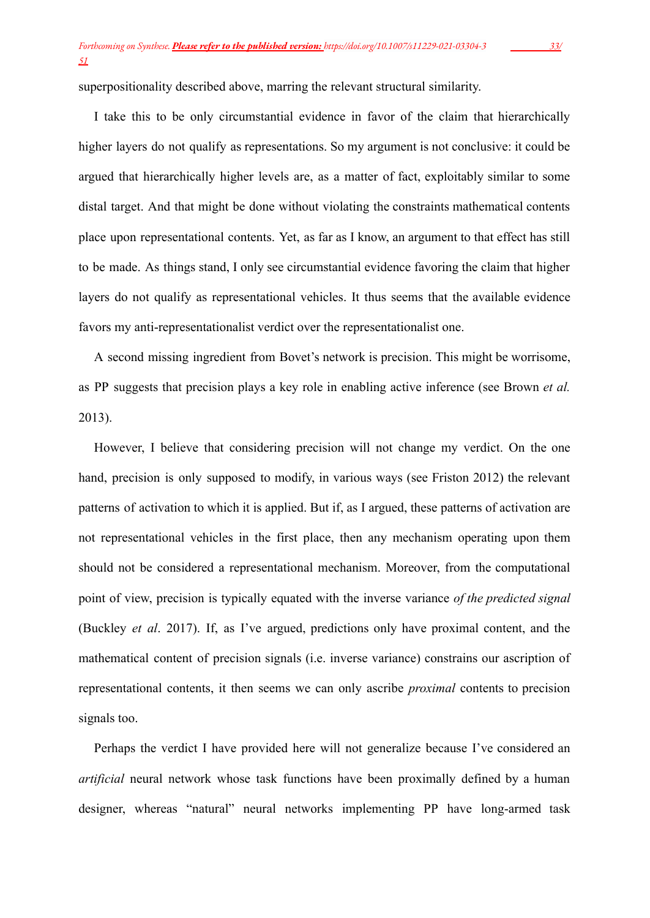superpositionality described above, marring the relevant structural similarity.

I take this to be only circumstantial evidence in favor of the claim that hierarchically higher layers do not qualify as representations. So my argument is not conclusive: it could be argued that hierarchically higher levels are, as a matter of fact, exploitably similar to some distal target. And that might be done without violating the constraints mathematical contents place upon representational contents. Yet, as far as I know, an argument to that effect has still to be made. As things stand, I only see circumstantial evidence favoring the claim that higher layers do not qualify as representational vehicles. It thus seems that the available evidence favors my anti-representationalist verdict over the representationalist one.

A second missing ingredient from Bovet's network is precision. This might be worrisome, as PP suggests that precision plays a key role in enabling active inference (see Brown *et al.* 2013).

However, I believe that considering precision will not change my verdict. On the one hand, precision is only supposed to modify, in various ways (see Friston 2012) the relevant patterns of activation to which it is applied. But if, as I argued, these patterns of activation are not representational vehicles in the first place, then any mechanism operating upon them should not be considered a representational mechanism. Moreover, from the computational point of view, precision is typically equated with the inverse variance *of the predicted signal* (Buckley *et al*. 2017). If, as I've argued, predictions only have proximal content, and the mathematical content of precision signals (i.e. inverse variance) constrains our ascription of representational contents, it then seems we can only ascribe *proximal* contents to precision signals too.

Perhaps the verdict I have provided here will not generalize because I've considered an *artificial* neural network whose task functions have been proximally defined by a human designer, whereas "natural" neural networks implementing PP have long-armed task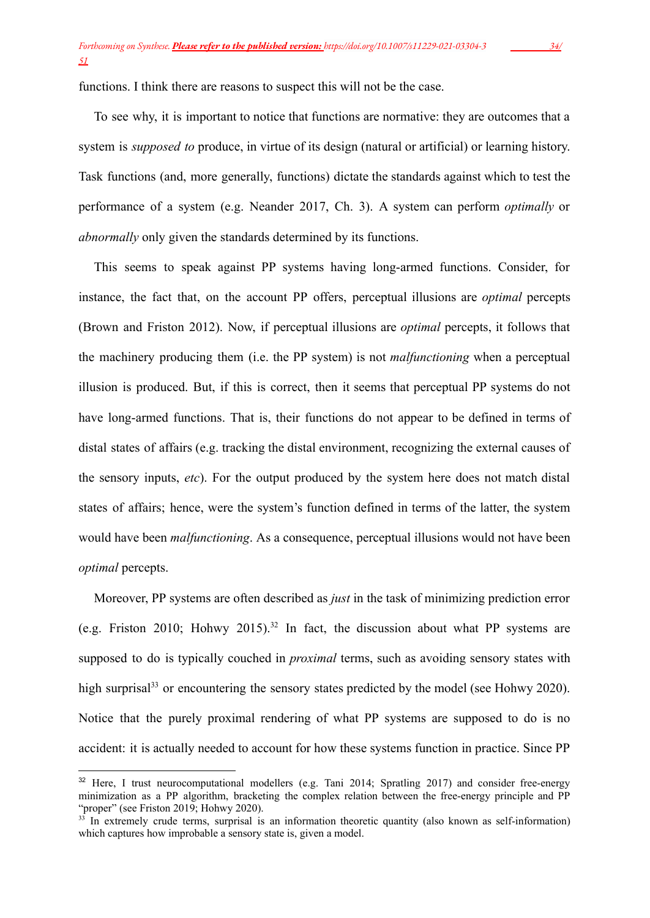functions. I think there are reasons to suspect this will not be the case.

To see why, it is important to notice that functions are normative: they are outcomes that a system is *supposed to* produce, in virtue of its design (natural or artificial) or learning history. Task functions (and, more generally, functions) dictate the standards against which to test the performance of a system (e.g. Neander 2017, Ch. 3). A system can perform *optimally* or *abnormally* only given the standards determined by its functions.

This seems to speak against PP systems having long-armed functions. Consider, for instance, the fact that, on the account PP offers, perceptual illusions are *optimal* percepts (Brown and Friston 2012). Now, if perceptual illusions are *optimal* percepts, it follows that the machinery producing them (i.e. the PP system) is not *malfunctioning* when a perceptual illusion is produced. But, if this is correct, then it seems that perceptual PP systems do not have long-armed functions. That is, their functions do not appear to be defined in terms of distal states of affairs (e.g. tracking the distal environment, recognizing the external causes of the sensory inputs, *etc*). For the output produced by the system here does not match distal states of affairs; hence, were the system's function defined in terms of the latter, the system would have been *malfunctioning*. As a consequence, perceptual illusions would not have been *optimal* percepts.

Moreover, PP systems are often described as *just* in the task of minimizing prediction error (e.g. Friston 2010; Hohwy 2015).<sup>32</sup> In fact, the discussion about what PP systems are supposed to do is typically couched in *proximal* terms, such as avoiding sensory states with high surprisal<sup>33</sup> or encountering the sensory states predicted by the model (see Hohwy 2020). Notice that the purely proximal rendering of what PP systems are supposed to do is no accident: it is actually needed to account for how these systems function in practice. Since PP

<sup>&</sup>lt;sup>32</sup> Here, I trust neurocomputational modellers (e.g. Tani 2014; Spratling 2017) and consider free-energy minimization as a PP algorithm, bracketing the complex relation between the free-energy principle and PP "proper" (see Friston 2019; Hohwy 2020).

 $33$  In extremely crude terms, surprisal is an information theoretic quantity (also known as self-information) which captures how improbable a sensory state is, given a model.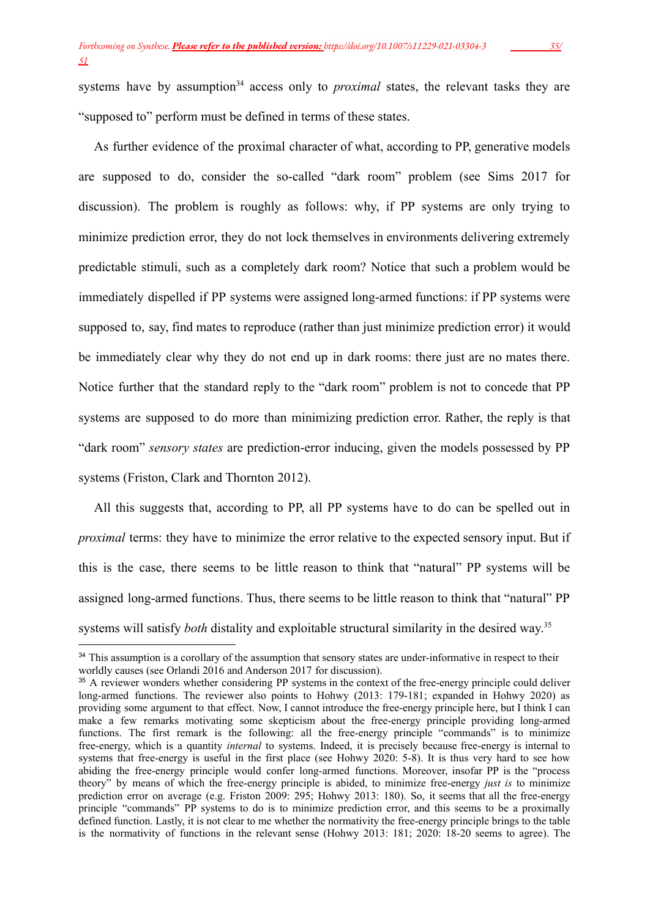systems have by assumption<sup>34</sup> access only to *proximal* states, the relevant tasks they are "supposed to" perform must be defined in terms of these states.

As further evidence of the proximal character of what, according to PP, generative models are supposed to do, consider the so-called "dark room" problem (see Sims 2017 for discussion). The problem is roughly as follows: why, if PP systems are only trying to minimize prediction error, they do not lock themselves in environments delivering extremely predictable stimuli, such as a completely dark room? Notice that such a problem would be immediately dispelled if PP systems were assigned long-armed functions: if PP systems were supposed to, say, find mates to reproduce (rather than just minimize prediction error) it would be immediately clear why they do not end up in dark rooms: there just are no mates there. Notice further that the standard reply to the "dark room" problem is not to concede that PP systems are supposed to do more than minimizing prediction error. Rather, the reply is that "dark room" *sensory states* are prediction-error inducing, given the models possessed by PP systems (Friston, Clark and Thornton 2012).

All this suggests that, according to PP, all PP systems have to do can be spelled out in *proximal* terms: they have to minimize the error relative to the expected sensory input. But if this is the case, there seems to be little reason to think that "natural" PP systems will be assigned long-armed functions. Thus, there seems to be little reason to think that "natural" PP systems will satisfy *both* distality and exploitable structural similarity in the desired way.<sup>35</sup>

<sup>&</sup>lt;sup>34</sup> This assumption is a corollary of the assumption that sensory states are under-informative in respect to their worldly causes (see Orlandi 2016 and Anderson 2017 for discussion).

<sup>&</sup>lt;sup>35</sup> A reviewer wonders whether considering PP systems in the context of the free-energy principle could deliver long-armed functions. The reviewer also points to Hohwy (2013: 179-181; expanded in Hohwy 2020) as providing some argument to that effect. Now, I cannot introduce the free-energy principle here, but I think I can make a few remarks motivating some skepticism about the free-energy principle providing long-armed functions. The first remark is the following: all the free-energy principle "commands" is to minimize free-energy, which is a quantity *internal* to systems. Indeed, it is precisely because free-energy is internal to systems that free-energy is useful in the first place (see Hohwy 2020: 5-8). It is thus very hard to see how abiding the free-energy principle would confer long-armed functions. Moreover, insofar PP is the "process theory" by means of which the free-energy principle is abided, to minimize free-energy *just is* to minimize prediction error on average (e.g. Friston 2009: 295; Hohwy 2013: 180). So, it seems that all the free-energy principle "commands" PP systems to do is to minimize prediction error, and this seems to be a proximally defined function. Lastly, it is not clear to me whether the normativity the free-energy principle brings to the table is the normativity of functions in the relevant sense (Hohwy 2013: 181; 2020: 18-20 seems to agree). The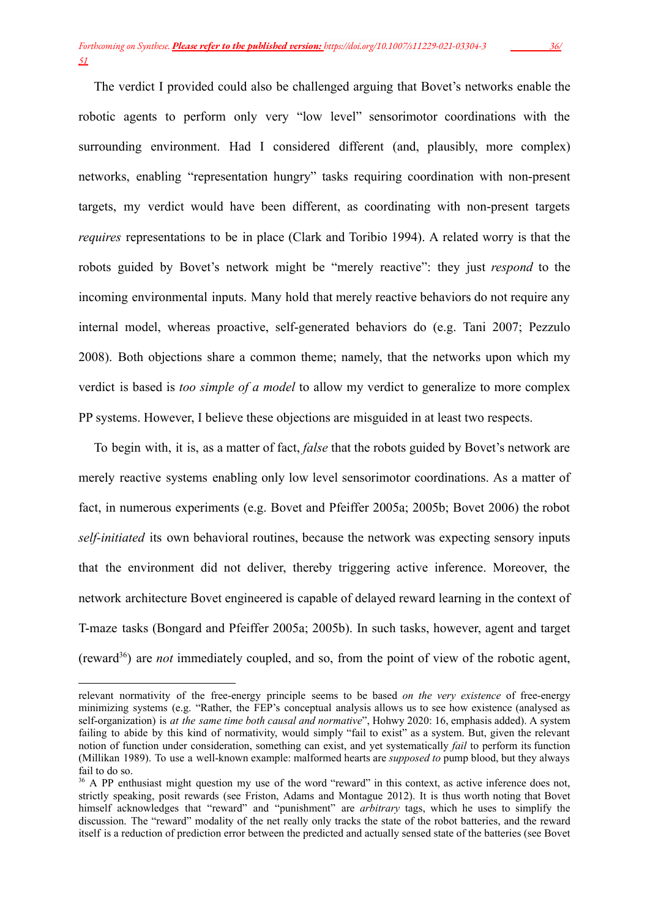The verdict I provided could also be challenged arguing that Bovet's networks enable the robotic agents to perform only very "low level" sensorimotor coordinations with the surrounding environment. Had I considered different (and, plausibly, more complex) networks, enabling "representation hungry" tasks requiring coordination with non-present targets, my verdict would have been different, as coordinating with non-present targets *requires* representations to be in place (Clark and Toribio 1994). A related worry is that the robots guided by Bovet's network might be "merely reactive": they just *respond* to the incoming environmental inputs. Many hold that merely reactive behaviors do not require any internal model, whereas proactive, self-generated behaviors do (e.g. Tani 2007; Pezzulo 2008). Both objections share a common theme; namely, that the networks upon which my verdict is based is *too simple of a model* to allow my verdict to generalize to more complex PP systems. However, I believe these objections are misguided in at least two respects.

To begin with, it is, as a matter of fact, *false* that the robots guided by Bovet's network are merely reactive systems enabling only low level sensorimotor coordinations. As a matter of fact, in numerous experiments (e.g. Bovet and Pfeiffer 2005a; 2005b; Bovet 2006) the robot *self-initiated* its own behavioral routines, because the network was expecting sensory inputs that the environment did not deliver, thereby triggering active inference. Moreover, the network architecture Bovet engineered is capable of delayed reward learning in the context of T-maze tasks (Bongard and Pfeiffer 2005a; 2005b). In such tasks, however, agent and target (reward<sup>36</sup> ) are *not* immediately coupled, and so, from the point of view of the robotic agent,

relevant normativity of the free-energy principle seems to be based *on the very existence* of free-energy minimizing systems (e.g. "Rather, the FEP's conceptual analysis allows us to see how existence (analysed as self-organization) is *at the same time both causal and normative*", Hohwy 2020: 16, emphasis added). A system failing to abide by this kind of normativity, would simply "fail to exist" as a system. But, given the relevant notion of function under consideration, something can exist, and yet systematically *fail* to perform its function (Millikan 1989). To use a well-known example: malformed hearts are *supposed to* pump blood, but they always fail to do so.

<sup>&</sup>lt;sup>36</sup> A PP enthusiast might question my use of the word "reward" in this context, as active inference does not, strictly speaking, posit rewards (see Friston, Adams and Montague 2012). It is thus worth noting that Bovet himself acknowledges that "reward" and "punishment" are *arbitrary* tags, which he uses to simplify the discussion. The "reward" modality of the net really only tracks the state of the robot batteries, and the reward itself is a reduction of prediction error between the predicted and actually sensed state of the batteries (see Bovet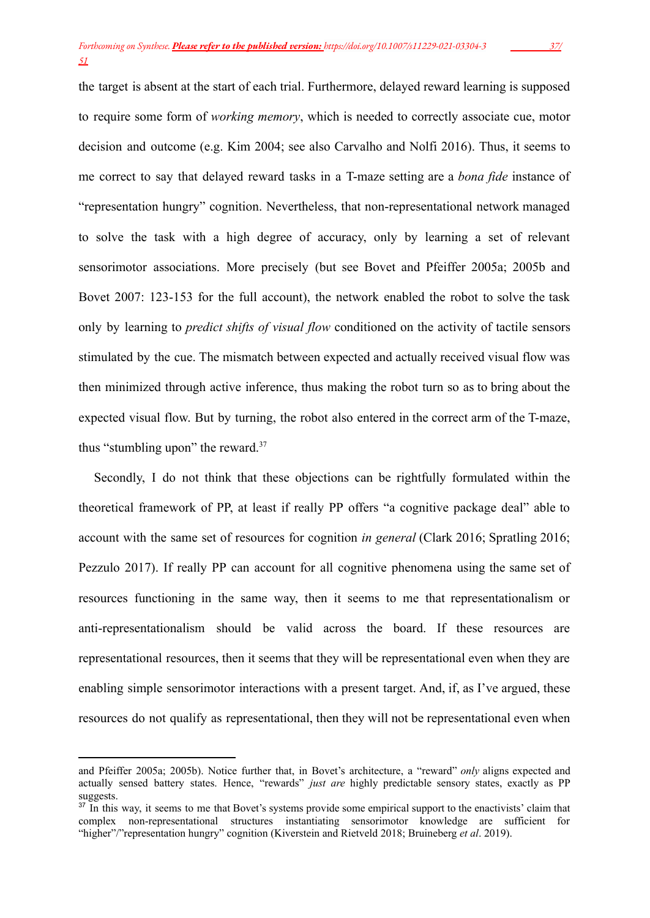the target is absent at the start of each trial. Furthermore, delayed reward learning is supposed to require some form of *working memory*, which is needed to correctly associate cue, motor decision and outcome (e.g. Kim 2004; see also Carvalho and Nolfi 2016). Thus, it seems to me correct to say that delayed reward tasks in a T-maze setting are a *bona fide* instance of "representation hungry" cognition. Nevertheless, that non-representational network managed to solve the task with a high degree of accuracy, only by learning a set of relevant sensorimotor associations. More precisely (but see Bovet and Pfeiffer 2005a; 2005b and Bovet 2007: 123-153 for the full account), the network enabled the robot to solve the task only by learning to *predict shifts of visual flow* conditioned on the activity of tactile sensors stimulated by the cue. The mismatch between expected and actually received visual flow was then minimized through active inference, thus making the robot turn so as to bring about the expected visual flow. But by turning, the robot also entered in the correct arm of the T-maze, thus "stumbling upon" the reward.<sup>37</sup>

Secondly, I do not think that these objections can be rightfully formulated within the theoretical framework of PP, at least if really PP offers "a cognitive package deal" able to account with the same set of resources for cognition *in general* (Clark 2016; Spratling 2016; Pezzulo 2017). If really PP can account for all cognitive phenomena using the same set of resources functioning in the same way, then it seems to me that representationalism or anti-representationalism should be valid across the board. If these resources are representational resources, then it seems that they will be representational even when they are enabling simple sensorimotor interactions with a present target. And, if, as I've argued, these resources do not qualify as representational, then they will not be representational even when

and Pfeiffer 2005a; 2005b). Notice further that, in Bovet's architecture, a "reward" *only* aligns expected and actually sensed battery states. Hence, "rewards" *just are* highly predictable sensory states, exactly as PP suggests.

<sup>&</sup>lt;sup>37</sup> In this way, it seems to me that Bovet's systems provide some empirical support to the enactivists' claim that complex non-representational structures instantiating sensorimotor knowledge are sufficient for "higher"/"representation hungry" cognition (Kiverstein and Rietveld 2018; Bruineberg *et al*. 2019).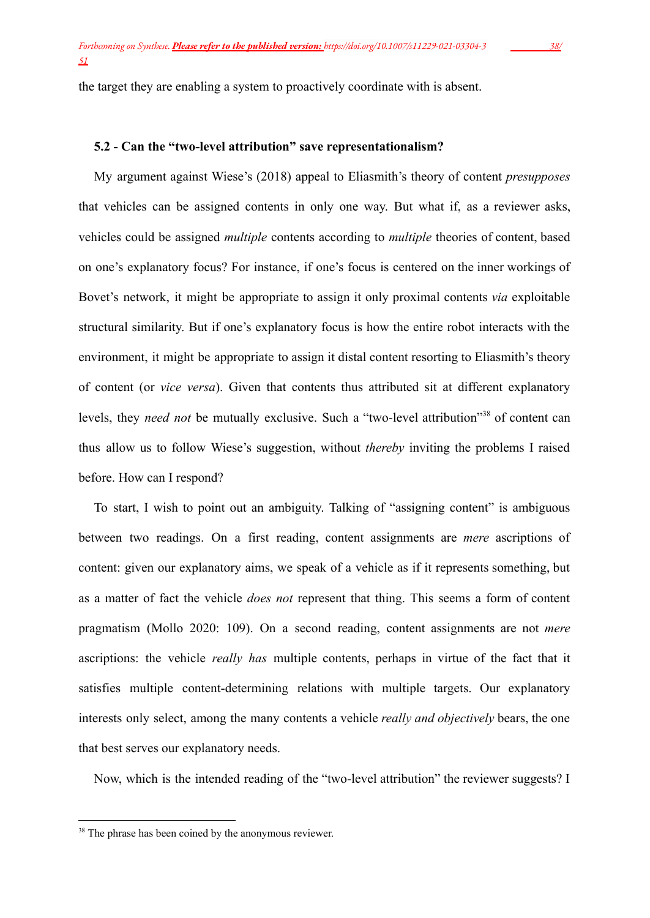the target they are enabling a system to proactively coordinate with is absent.

## **5.2 - Can the "two-level attribution" save representationalism?**

My argument against Wiese's (2018) appeal to Eliasmith's theory of content *presupposes* that vehicles can be assigned contents in only one way. But what if, as a reviewer asks, vehicles could be assigned *multiple* contents according to *multiple* theories of content, based on one's explanatory focus? For instance, if one's focus is centered on the inner workings of Bovet's network, it might be appropriate to assign it only proximal contents *via* exploitable structural similarity. But if one's explanatory focus is how the entire robot interacts with the environment, it might be appropriate to assign it distal content resorting to Eliasmith's theory of content (or *vice versa*). Given that contents thus attributed sit at different explanatory levels, they *need not* be mutually exclusive. Such a "two-level attribution"<sup>38</sup> of content can thus allow us to follow Wiese's suggestion, without *thereby* inviting the problems I raised before. How can I respond?

To start, I wish to point out an ambiguity. Talking of "assigning content" is ambiguous between two readings. On a first reading, content assignments are *mere* ascriptions of content: given our explanatory aims, we speak of a vehicle as if it represents something, but as a matter of fact the vehicle *does not* represent that thing. This seems a form of content pragmatism (Mollo 2020: 109). On a second reading, content assignments are not *mere* ascriptions: the vehicle *really has* multiple contents, perhaps in virtue of the fact that it satisfies multiple content-determining relations with multiple targets. Our explanatory interests only select, among the many contents a vehicle *really and objectively* bears, the one that best serves our explanatory needs.

Now, which is the intended reading of the "two-level attribution" the reviewer suggests? I

<sup>&</sup>lt;sup>38</sup> The phrase has been coined by the anonymous reviewer.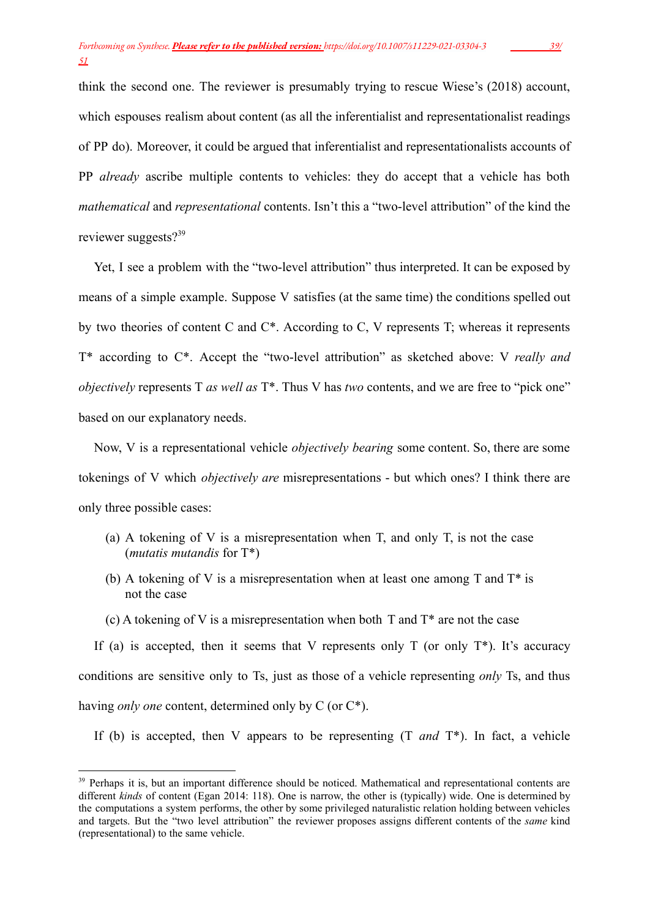think the second one. The reviewer is presumably trying to rescue Wiese's (2018) account, which espouses realism about content (as all the inferentialist and representationalist readings of PP do). Moreover, it could be argued that inferentialist and representationalists accounts of PP *already* ascribe multiple contents to vehicles: they do accept that a vehicle has both *mathematical* and *representational* contents. Isn't this a "two-level attribution" of the kind the reviewer suggests?<sup>39</sup>

Yet, I see a problem with the "two-level attribution" thus interpreted. It can be exposed by means of a simple example. Suppose V satisfies (at the same time) the conditions spelled out by two theories of content C and C\*. According to C, V represents T; whereas it represents T\* according to C\*. Accept the "two-level attribution" as sketched above: V *really and objectively* represents T *as well as* T\*. Thus V has *two* contents, and we are free to "pick one" based on our explanatory needs.

Now, V is a representational vehicle *objectively bearing* some content. So, there are some tokenings of V which *objectively are* misrepresentations - but which ones? I think there are only three possible cases:

- (a) A tokening of V is a misrepresentation when T, and only T, is not the case (*mutatis mutandis* for T\*)
- (b) A tokening of V is a misrepresentation when at least one among T and  $T^*$  is not the case
- (c) A tokening of V is a misrepresentation when both T and  $T^*$  are not the case

If (a) is accepted, then it seems that V represents only  $T$  (or only  $T^*$ ). It's accuracy conditions are sensitive only to Ts, just as those of a vehicle representing *only* Ts, and thus having *only one* content, determined only by C (or C\*).

If (b) is accepted, then V appears to be representing (T *and* T\*). In fact, a vehicle

<sup>&</sup>lt;sup>39</sup> Perhaps it is, but an important difference should be noticed. Mathematical and representational contents are different *kinds* of content (Egan 2014: 118). One is narrow, the other is (typically) wide. One is determined by the computations a system performs, the other by some privileged naturalistic relation holding between vehicles and targets. But the "two level attribution" the reviewer proposes assigns different contents of the *same* kind (representational) to the same vehicle.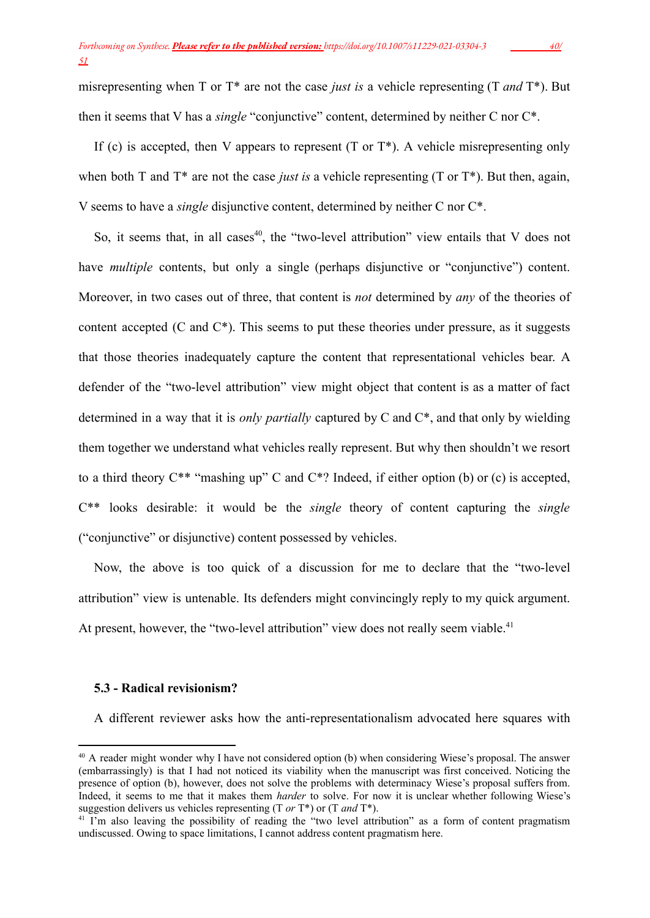misrepresenting when T or T\* are not the case *just is* a vehicle representing (T *and* T\*). But then it seems that V has a *single* "conjunctive" content, determined by neither C nor C\*.

If (c) is accepted, then V appears to represent  $(T \text{ or } T^*)$ . A vehicle misrepresenting only when both T and T<sup>\*</sup> are not the case *just is* a vehicle representing (T or T<sup>\*</sup>). But then, again, V seems to have a *single* disjunctive content, determined by neither C nor C\*.

So, it seems that, in all cases<sup>40</sup>, the "two-level attribution" view entails that V does not have *multiple* contents, but only a single (perhaps disjunctive or "conjunctive") content. Moreover, in two cases out of three, that content is *not* determined by *any* of the theories of content accepted  $(C \text{ and } C^*)$ . This seems to put these theories under pressure, as it suggests that those theories inadequately capture the content that representational vehicles bear. A defender of the "two-level attribution" view might object that content is as a matter of fact determined in a way that it is *only partially* captured by C and C\*, and that only by wielding them together we understand what vehicles really represent. But why then shouldn't we resort to a third theory  $C^{**}$  "mashing up" C and  $C^{*}$ ? Indeed, if either option (b) or (c) is accepted, C\*\* looks desirable: it would be the *single* theory of content capturing the *single* ("conjunctive" or disjunctive) content possessed by vehicles.

Now, the above is too quick of a discussion for me to declare that the "two-level attribution" view is untenable. Its defenders might convincingly reply to my quick argument. At present, however, the "two-level attribution" view does not really seem viable.<sup>41</sup>

## **5.3 - Radical revisionism?**

A different reviewer asks how the anti-representationalism advocated here squares with

<sup>&</sup>lt;sup>40</sup> A reader might wonder why I have not considered option (b) when considering Wiese's proposal. The answer (embarrassingly) is that I had not noticed its viability when the manuscript was first conceived. Noticing the presence of option (b), however, does not solve the problems with determinacy Wiese's proposal suffers from. Indeed, it seems to me that it makes them *harder* to solve. For now it is unclear whether following Wiese's suggestion delivers us vehicles representing (T *or* T\*) or (T *and* T\*).

<sup>&</sup>lt;sup>41</sup> I'm also leaving the possibility of reading the "two level attribution" as a form of content pragmatism undiscussed. Owing to space limitations, I cannot address content pragmatism here.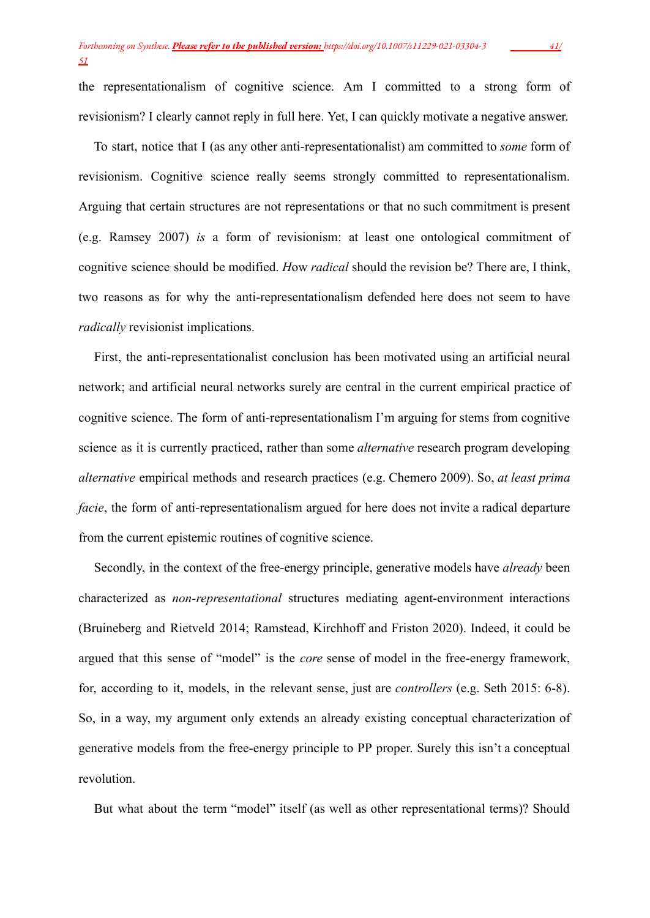the representationalism of cognitive science. Am I committed to a strong form of revisionism? I clearly cannot reply in full here. Yet, I can quickly motivate a negative answer.

To start, notice that I (as any other anti-representationalist) am committed to *some* form of revisionism. Cognitive science really seems strongly committed to representationalism. Arguing that certain structures are not representations or that no such commitment is present (e.g. Ramsey 2007) *is* a form of revisionism: at least one ontological commitment of cognitive science should be modified. *H*ow *radical* should the revision be? There are, I think, two reasons as for why the anti-representationalism defended here does not seem to have *radically* revisionist implications.

First, the anti-representationalist conclusion has been motivated using an artificial neural network; and artificial neural networks surely are central in the current empirical practice of cognitive science. The form of anti-representationalism I'm arguing for stems from cognitive science as it is currently practiced, rather than some *alternative* research program developing *alternative* empirical methods and research practices (e.g. Chemero 2009). So, *at least prima facie*, the form of anti-representationalism argued for here does not invite a radical departure from the current epistemic routines of cognitive science.

Secondly, in the context of the free-energy principle, generative models have *already* been characterized as *non-representational* structures mediating agent-environment interactions (Bruineberg and Rietveld 2014; Ramstead, Kirchhoff and Friston 2020). Indeed, it could be argued that this sense of "model" is the *core* sense of model in the free-energy framework, for, according to it, models, in the relevant sense, just are *controllers* (e.g. Seth 2015: 6-8). So, in a way, my argument only extends an already existing conceptual characterization of generative models from the free-energy principle to PP proper. Surely this isn't a conceptual revolution.

But what about the term "model" itself (as well as other representational terms)? Should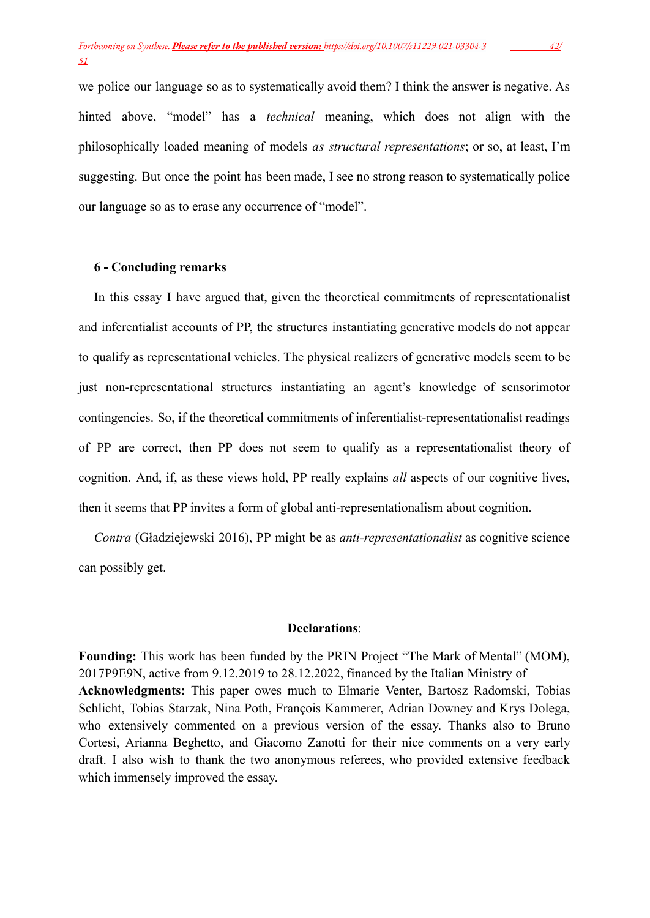we police our language so as to systematically avoid them? I think the answer is negative. As hinted above, "model" has a *technical* meaning, which does not align with the philosophically loaded meaning of models *as structural representations*; or so, at least, I'm suggesting. But once the point has been made, I see no strong reason to systematically police our language so as to erase any occurrence of "model".

#### **6 - Concluding remarks**

In this essay I have argued that, given the theoretical commitments of representationalist and inferentialist accounts of PP, the structures instantiating generative models do not appear to qualify as representational vehicles. The physical realizers of generative models seem to be just non-representational structures instantiating an agent's knowledge of sensorimotor contingencies. So, if the theoretical commitments of inferentialist-representationalist readings of PP are correct, then PP does not seem to qualify as a representationalist theory of cognition. And, if, as these views hold, PP really explains *all* aspects of our cognitive lives, then it seems that PP invites a form of global anti-representationalism about cognition.

*Contra* (Gładziejewski 2016), PP might be as *anti-representationalist* as cognitive science can possibly get.

## **Declarations**:

**Founding:** This work has been funded by the PRIN Project "The Mark of Mental" (MOM), 2017P9E9N, active from 9.12.2019 to 28.12.2022, financed by the Italian Ministry of **Acknowledgments:** This paper owes much to Elmarie Venter, Bartosz Radomski, Tobias Schlicht, Tobias Starzak, Nina Poth, François Kammerer, Adrian Downey and Krys Dolega, who extensively commented on a previous version of the essay. Thanks also to Bruno Cortesi, Arianna Beghetto, and Giacomo Zanotti for their nice comments on a very early draft. I also wish to thank the two anonymous referees, who provided extensive feedback which immensely improved the essay.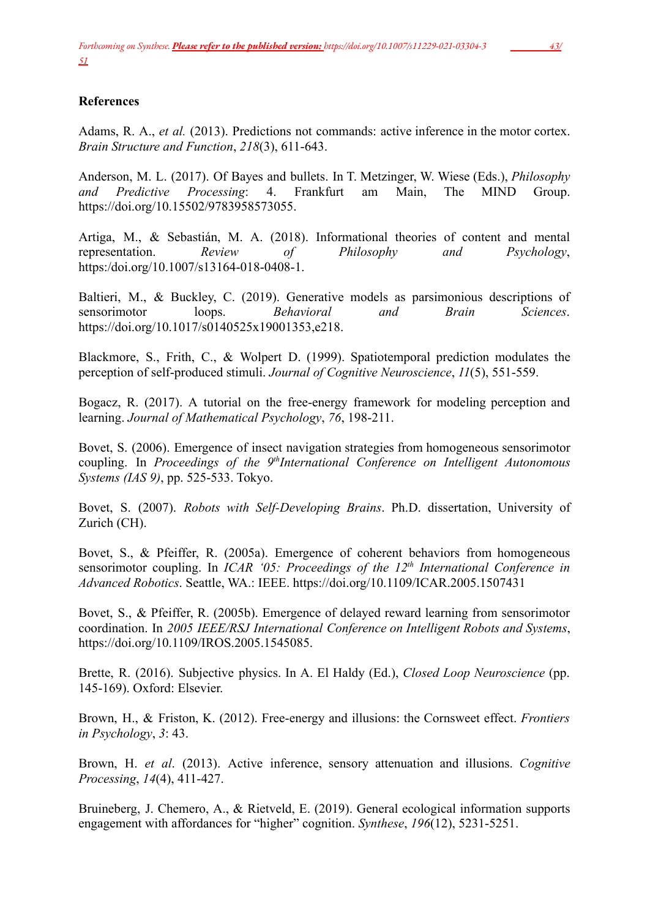# **References**

Adams, R. A., *et al.* (2013). Predictions not commands: active inference in the motor cortex. *Brain Structure and Function*, *218*(3), 611-643.

Anderson, M. L. (2017). Of Bayes and bullets. In T. Metzinger, W. Wiese (Eds.), *Philosophy and Predictive Processing*: 4. Frankfurt am Main, The MIND Group. https://doi.org/10.15502/9783958573055.

Artiga, M., & Sebastián, M. A. (2018). Informational theories of content and mental representation. *Review of Philosophy and Psychology*, https:/doi.org/10.1007/s13164-018-0408-1.

Baltieri, M., & Buckley, C. (2019). Generative models as parsimonious descriptions of sensorimotor loops. *Behavioral and Brain Sciences*. https://doi.org/10.1017/s0140525x19001353,e218.

Blackmore, S., Frith, C., & Wolpert D. (1999). Spatiotemporal prediction modulates the perception of self-produced stimuli. *Journal of Cognitive Neuroscience*, *11*(5), 551-559.

Bogacz, R. (2017). A tutorial on the free-energy framework for modeling perception and learning. *Journal of Mathematical Psychology*, *76*, 198-211.

Bovet, S. (2006). Emergence of insect navigation strategies from homogeneous sensorimotor coupling. In *Proceedings of the 9 th International Conference on Intelligent Autonomous Systems (IAS 9)*, pp. 525-533. Tokyo.

Bovet, S. (2007). *Robots with Self-Developing Brains*. Ph.D. dissertation, University of Zurich (CH).

Bovet, S., & Pfeiffer, R. (2005a). Emergence of coherent behaviors from homogeneous sensorimotor coupling. In *ICAR '05: Proceedings of the 12th International Conference in Advanced Robotics*. Seattle, WA.: IEEE. https://doi.org/10.1109/ICAR.2005.1507431

Bovet, S., & Pfeiffer, R. (2005b). Emergence of delayed reward learning from sensorimotor coordination. In *2005 IEEE/RSJ International Conference on Intelligent Robots and Systems*, https://doi.org/10.1109/IROS.2005.1545085.

Brette, R. (2016). Subjective physics. In A. El Haldy (Ed.), *Closed Loop Neuroscience* (pp. 145-169). Oxford: Elsevier.

Brown, H., & Friston, K. (2012). Free-energy and illusions: the Cornsweet effect. *Frontiers in Psychology*, *3*: 43.

Brown, H. *et al*. (2013). Active inference, sensory attenuation and illusions. *Cognitive Processing*, *14*(4), 411-427.

Bruineberg, J. Chemero, A., & Rietveld, E. (2019). General ecological information supports engagement with affordances for "higher" cognition. *Synthese*, *196*(12), 5231-5251.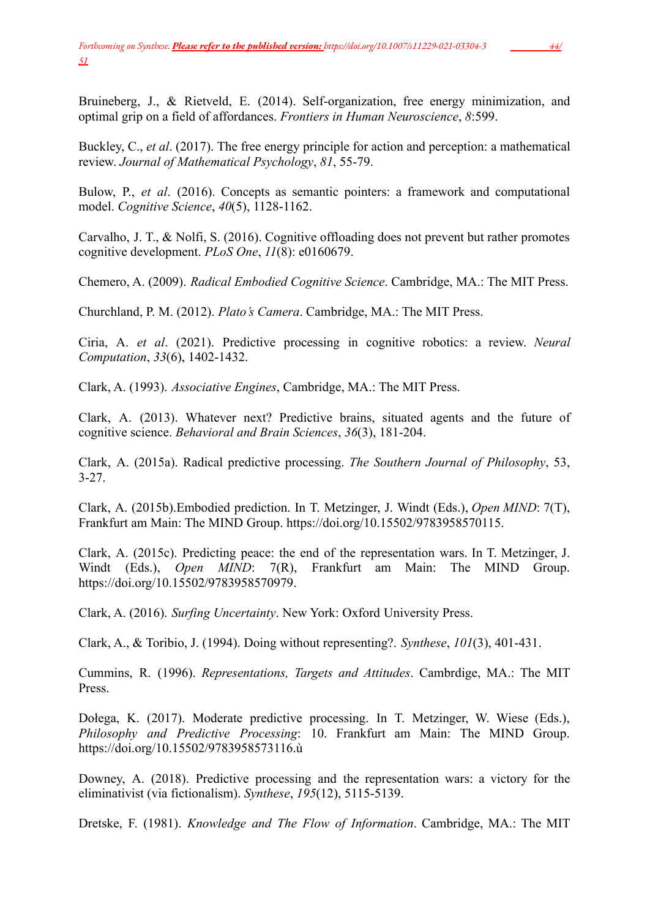Bruineberg, J., & Rietveld, E. (2014). Self-organization, free energy minimization, and optimal grip on a field of affordances. *Frontiers in Human Neuroscience*, *8*:599.

Buckley, C., *et al*. (2017). The free energy principle for action and perception: a mathematical review. *Journal of Mathematical Psychology*, *81*, 55-79.

Bulow, P., *et al*. (2016). Concepts as semantic pointers: a framework and computational model. *Cognitive Science*, *40*(5), 1128-1162.

Carvalho, J. T., & Nolfi, S. (2016). Cognitive offloading does not prevent but rather promotes cognitive development. *PLoS One*, *11*(8): e0160679.

Chemero, A. (2009). *Radical Embodied Cognitive Science*. Cambridge, MA.: The MIT Press.

Churchland, P. M. (2012). *Plato's Camera*. Cambridge, MA.: The MIT Press.

Ciria, A. *et al*. (2021). Predictive processing in cognitive robotics: a review. *Neural Computation*, *33*(6), 1402-1432.

Clark, A. (1993). *Associative Engines*, Cambridge, MA.: The MIT Press.

Clark, A. (2013). Whatever next? Predictive brains, situated agents and the future of cognitive science. *Behavioral and Brain Sciences*, *36*(3), 181-204.

Clark, A. (2015a). Radical predictive processing. *The Southern Journal of Philosophy*, 53, 3-27.

Clark, A. (2015b).Embodied prediction. In T. Metzinger, J. Windt (Eds.), *Open MIND*: 7(T), Frankfurt am Main: The MIND Group. https://doi.org/10.15502/9783958570115.

Clark, A. (2015c). Predicting peace: the end of the representation wars. In T. Metzinger, J. Windt (Eds.), *Open MIND*: 7(R), Frankfurt am Main: The MIND Group. https://doi.org/10.15502/9783958570979.

Clark, A. (2016). *Surfing Uncertainty*. New York: Oxford University Press.

Clark, A., & Toribio, J. (1994). Doing without representing?. *Synthese*, *101*(3), 401-431.

Cummins, R. (1996). *Representations, Targets and Attitudes*. Cambrdige, MA.: The MIT Press.

Dołega, K. (2017). Moderate predictive processing. In T. Metzinger, W. Wiese (Eds.), *Philosophy and Predictive Processing*: 10. Frankfurt am Main: The MIND Group. https://doi.org/10.15502/9783958573116.ù

Downey, A. (2018). Predictive processing and the representation wars: a victory for the eliminativist (via fictionalism). *Synthese*, *195*(12), 5115-5139.

Dretske, F. (1981). *Knowledge and The Flow of Information*. Cambridge, MA.: The MIT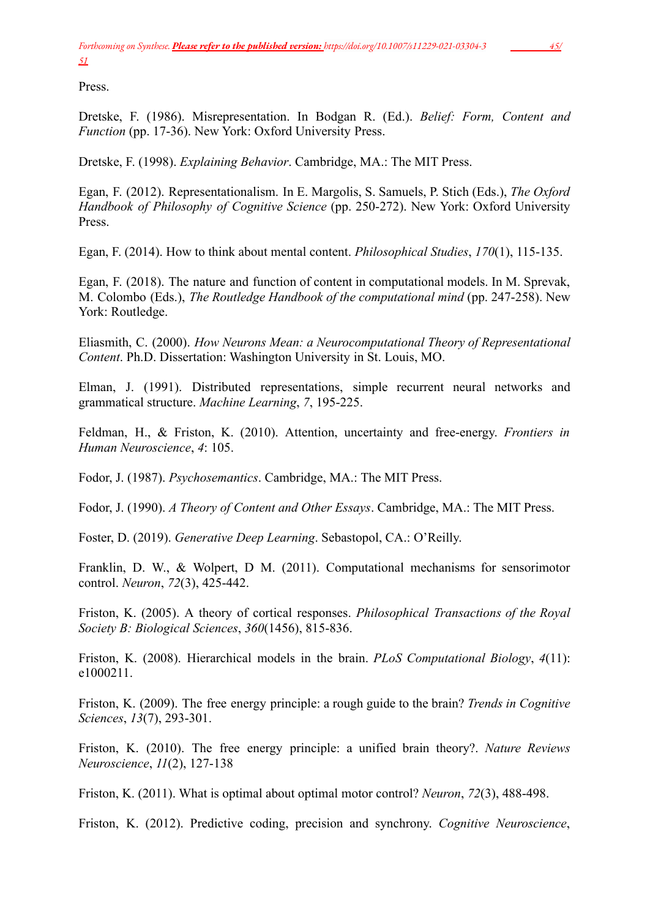Press.

Dretske, F. (1986). Misrepresentation. In Bodgan R. (Ed.). *Belief: Form, Content and Function* (pp. 17-36). New York: Oxford University Press.

Dretske, F. (1998). *Explaining Behavior*. Cambridge, MA.: The MIT Press.

Egan, F. (2012). Representationalism. In E. Margolis, S. Samuels, P. Stich (Eds.), *The Oxford Handbook of Philosophy of Cognitive Science* (pp. 250-272). New York: Oxford University Press.

Egan, F. (2014). How to think about mental content. *Philosophical Studies*, *170*(1), 115-135.

Egan, F. (2018). The nature and function of content in computational models. In M. Sprevak, M. Colombo (Eds.), *The Routledge Handbook of the computational mind* (pp. 247-258). New York: Routledge.

Eliasmith, C. (2000). *How Neurons Mean: a Neurocomputational Theory of Representational Content*. Ph.D. Dissertation: Washington University in St. Louis, MO.

Elman, J. (1991). Distributed representations, simple recurrent neural networks and grammatical structure. *Machine Learning*, *7*, 195-225.

Feldman, H., & Friston, K. (2010). Attention, uncertainty and free-energy. *Frontiers in Human Neuroscience*, *4*: 105.

Fodor, J. (1987). *Psychosemantics*. Cambridge, MA.: The MIT Press.

Fodor, J. (1990). *A Theory of Content and Other Essays*. Cambridge, MA.: The MIT Press.

Foster, D. (2019). *Generative Deep Learning*. Sebastopol, CA.: O'Reilly.

Franklin, D. W., & Wolpert, D M. (2011). Computational mechanisms for sensorimotor control. *Neuron*, *72*(3), 425-442.

Friston, K. (2005). A theory of cortical responses. *Philosophical Transactions of the Royal Society B: Biological Sciences*, *360*(1456), 815-836.

Friston, K. (2008). Hierarchical models in the brain. *PLoS Computational Biology*, *4*(11): e1000211.

Friston, K. (2009). The free energy principle: a rough guide to the brain? *Trends in Cognitive Sciences*, *13*(7), 293-301.

Friston, K. (2010). The free energy principle: a unified brain theory?. *Nature Reviews Neuroscience*, *11*(2), 127-138

Friston, K. (2011). What is optimal about optimal motor control? *Neuron*, *72*(3), 488-498.

Friston, K. (2012). Predictive coding, precision and synchrony. *Cognitive Neuroscience*,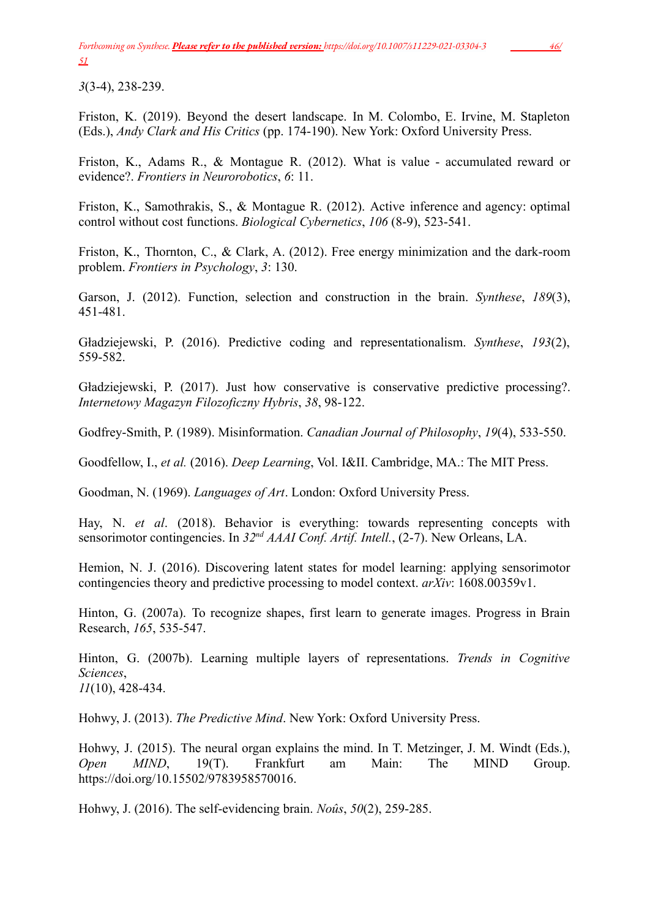*3*(3-4), 238-239.

Friston, K. (2019). Beyond the desert landscape. In M. Colombo, E. Irvine, M. Stapleton (Eds.), *Andy Clark and His Critics* (pp. 174-190). New York: Oxford University Press.

Friston, K., Adams R., & Montague R. (2012). What is value - accumulated reward or evidence?. *Frontiers in Neurorobotics*, *6*: 11.

Friston, K., Samothrakis, S., & Montague R. (2012). Active inference and agency: optimal control without cost functions. *Biological Cybernetics*, *106* (8-9), 523-541.

Friston, K., Thornton, C., & Clark, A. (2012). Free energy minimization and the dark-room problem. *Frontiers in Psychology*, *3*: 130.

Garson, J. (2012). Function, selection and construction in the brain. *Synthese*, *189*(3), 451-481.

Gładziejewski, P. (2016). Predictive coding and representationalism. *Synthese*, *193*(2), 559-582.

Gładziejewski, P. (2017). Just how conservative is conservative predictive processing?. *Internetowy Magazyn Filozoficzny Hybris*, *38*, 98-122.

Godfrey-Smith, P. (1989). Misinformation. *Canadian Journal of Philosophy*, *19*(4), 533-550.

Goodfellow, I., *et al.* (2016). *Deep Learning*, Vol. I&II. Cambridge, MA.: The MIT Press.

Goodman, N. (1969). *Languages of Art*. London: Oxford University Press.

Hay, N. *et al*. (2018). Behavior is everything: towards representing concepts with sensorimotor contingencies. In *32nd AAAI Conf. Artif. Intell.*, (2-7). New Orleans, LA.

Hemion, N. J. (2016). Discovering latent states for model learning: applying sensorimotor contingencies theory and predictive processing to model context. *arXiv*: 1608.00359v1.

Hinton, G. (2007a). To recognize shapes, first learn to generate images. Progress in Brain Research, *165*, 535-547.

Hinton, G. (2007b). Learning multiple layers of representations. *Trends in Cognitive Sciences*, *11*(10), 428-434.

Hohwy, J. (2013). *The Predictive Mind*. New York: Oxford University Press.

Hohwy, J. (2015). The neural organ explains the mind. In T. Metzinger, J. M. Windt (Eds.), *Open MIND*, 19(T). Frankfurt am Main: The MIND Group. https://doi.org/10.15502/9783958570016.

Hohwy, J. (2016). The self-evidencing brain. *Noûs*, *50*(2), 259-285.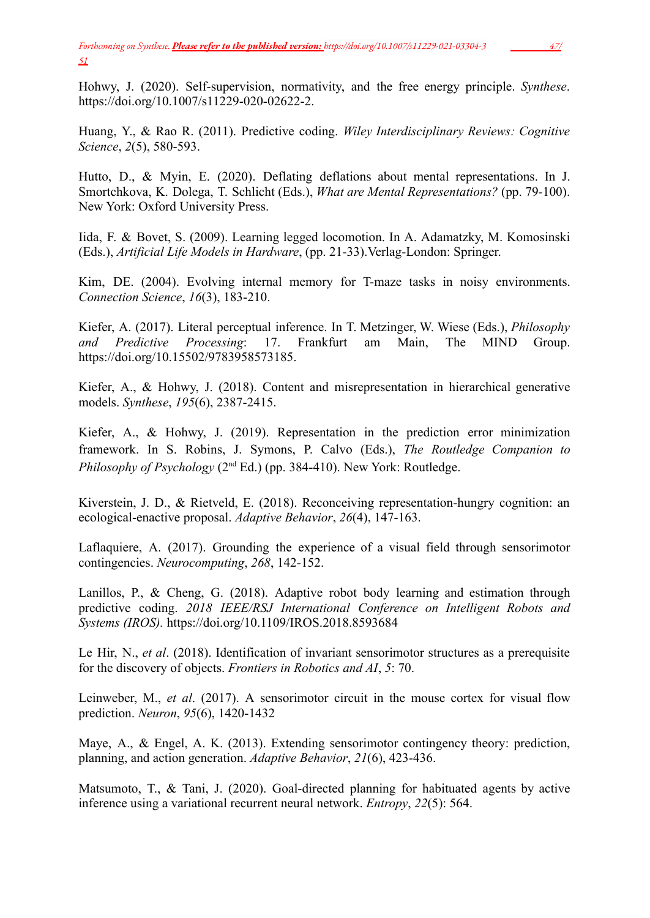Hohwy, J. (2020). Self-supervision, normativity, and the free energy principle. *Synthese*. https://doi.org/10.1007/s11229-020-02622-2.

Huang, Y., & Rao R. (2011). Predictive coding. *Wiley Interdisciplinary Reviews: Cognitive Science*, *2*(5), 580-593.

Hutto, D., & Myin, E. (2020). Deflating deflations about mental representations. In J. Smortchkova, K. Dolega, T. Schlicht (Eds.), *What are Mental Representations?* (pp. 79-100). New York: Oxford University Press.

Iida, F. & Bovet, S. (2009). Learning legged locomotion. In A. Adamatzky, M. Komosinski (Eds.), *Artificial Life Models in Hardware*, (pp. 21-33).Verlag-London: Springer.

Kim, DE. (2004). Evolving internal memory for T-maze tasks in noisy environments. *Connection Science*, *16*(3), 183-210.

Kiefer, A. (2017). Literal perceptual inference. In T. Metzinger, W. Wiese (Eds.), *Philosophy and Predictive Processing*: 17. Frankfurt am Main, The MIND Group. https://doi.org/10.15502/9783958573185.

Kiefer, A., & Hohwy, J. (2018). Content and misrepresentation in hierarchical generative models. *Synthese*, *195*(6), 2387-2415.

Kiefer, A., & Hohwy, J. (2019). Representation in the prediction error minimization framework. In S. Robins, J. Symons, P. Calvo (Eds.), *The Routledge Companion to Philosophy of Psychology* (2<sup>nd</sup> Ed.) (pp. 384-410). New York: Routledge.

Kiverstein, J. D., & Rietveld, E. (2018). Reconceiving representation-hungry cognition: an ecological-enactive proposal. *Adaptive Behavior*, *26*(4), 147-163.

Laflaquiere, A. (2017). Grounding the experience of a visual field through sensorimotor contingencies. *Neurocomputing*, *268*, 142-152.

Lanillos, P., & Cheng, G. (2018). Adaptive robot body learning and estimation through predictive coding. *2018 IEEE/RSJ International Conference on Intelligent Robots and Systems (IROS).* https://doi.org/10.1109/IROS.2018.8593684

Le Hir, N., *et al*. (2018). Identification of invariant sensorimotor structures as a prerequisite for the discovery of objects. *Frontiers in Robotics and AI*, *5*: 70.

Leinweber, M., *et al*. (2017). A sensorimotor circuit in the mouse cortex for visual flow prediction. *Neuron*, *95*(6), 1420-1432

Maye, A., & Engel, A. K. (2013). Extending sensorimotor contingency theory: prediction, planning, and action generation. *Adaptive Behavior*, *21*(6), 423-436.

Matsumoto, T., & Tani, J. (2020). Goal-directed planning for habituated agents by active inference using a variational recurrent neural network. *Entropy*, *22*(5): 564.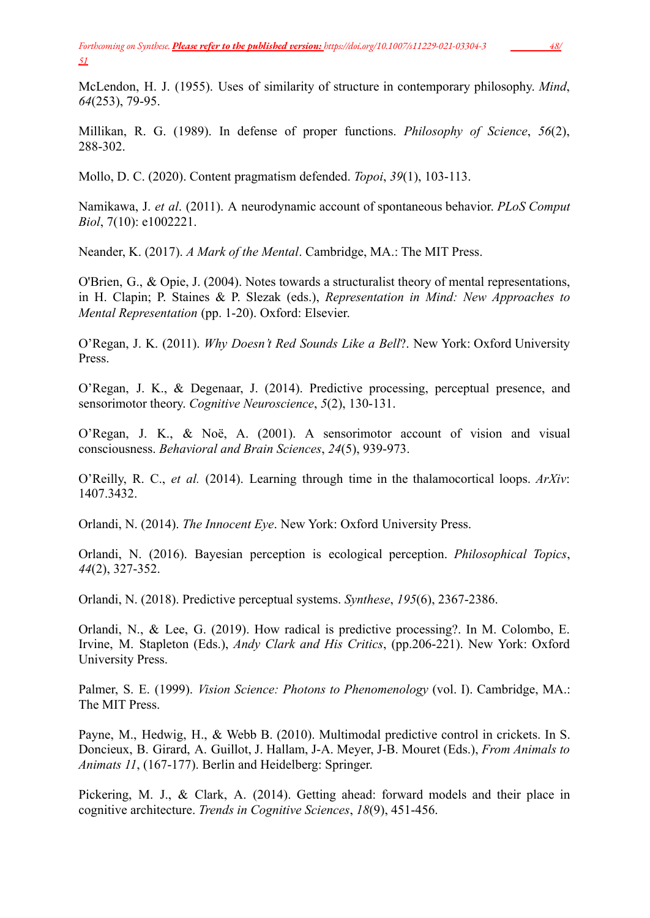McLendon, H. J. (1955). Uses of similarity of structure in contemporary philosophy. *Mind*, *64*(253), 79-95.

Millikan, R. G. (1989). In defense of proper functions. *Philosophy of Science*, *56*(2), 288-302.

Mollo, D. C. (2020). Content pragmatism defended. *Topoi*, *39*(1), 103-113.

Namikawa, J. *et al*. (2011). A neurodynamic account of spontaneous behavior. *PLoS Comput Biol*, 7(10): e1002221.

Neander, K. (2017). *A Mark of the Mental*. Cambridge, MA.: The MIT Press.

O'Brien, G., & Opie, J. (2004). Notes towards a structuralist theory of mental representations, in H. Clapin; P. Staines & P. Slezak (eds.), *Representation in Mind: New Approaches to Mental Representation* (pp. 1-20). Oxford: Elsevier.

O'Regan, J. K. (2011). *Why Doesn't Red Sounds Like a Bell*?. New York: Oxford University Press.

O'Regan, J. K., & Degenaar, J. (2014). Predictive processing, perceptual presence, and sensorimotor theory. *Cognitive Neuroscience*, *5*(2), 130-131.

O'Regan, J. K., & Noë, A. (2001). A sensorimotor account of vision and visual consciousness. *Behavioral and Brain Sciences*, *24*(5), 939-973.

O'Reilly, R. C., *et al.* (2014). Learning through time in the thalamocortical loops. *ArXiv*: 1407.3432.

Orlandi, N. (2014). *The Innocent Eye*. New York: Oxford University Press.

Orlandi, N. (2016). Bayesian perception is ecological perception. *Philosophical Topics*, *44*(2), 327-352.

Orlandi, N. (2018). Predictive perceptual systems. *Synthese*, *195*(6), 2367-2386.

Orlandi, N., & Lee, G. (2019). How radical is predictive processing?. In M. Colombo, E. Irvine, M. Stapleton (Eds.), *Andy Clark and His Critics*, (pp.206-221). New York: Oxford University Press.

Palmer, S. E. (1999). *Vision Science: Photons to Phenomenology* (vol. I). Cambridge, MA.: The MIT Press.

Payne, M., Hedwig, H., & Webb B. (2010). Multimodal predictive control in crickets. In S. Doncieux, B. Girard, A. Guillot, J. Hallam, J-A. Meyer, J-B. Mouret (Eds.), *From Animals to Animats 11*, (167-177). Berlin and Heidelberg: Springer.

Pickering, M. J., & Clark, A. (2014). Getting ahead: forward models and their place in cognitive architecture. *Trends in Cognitive Sciences*, *18*(9), 451-456.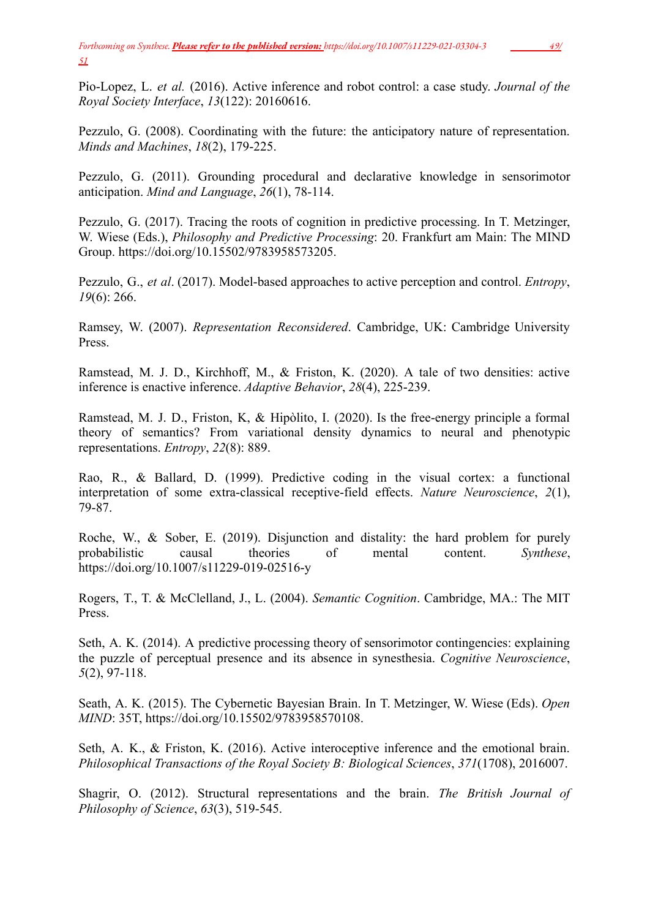Pio-Lopez, L. *et al.* (2016). Active inference and robot control: a case study. *Journal of the Royal Society Interface*, *13*(122): 20160616.

Pezzulo, G. (2008). Coordinating with the future: the anticipatory nature of representation. *Minds and Machines*, *18*(2), 179-225.

Pezzulo, G. (2011). Grounding procedural and declarative knowledge in sensorimotor anticipation. *Mind and Language*, *26*(1), 78-114.

Pezzulo, G. (2017). Tracing the roots of cognition in predictive processing. In T. Metzinger, W. Wiese (Eds.), *Philosophy and Predictive Processing*: 20. Frankfurt am Main: The MIND Group. https://doi.org/10.15502/9783958573205.

Pezzulo, G., *et al*. (2017). Model-based approaches to active perception and control. *Entropy*, *19*(6): 266.

Ramsey, W. (2007). *Representation Reconsidered*. Cambridge, UK: Cambridge University Press.

Ramstead, M. J. D., Kirchhoff, M., & Friston, K. (2020). A tale of two densities: active inference is enactive inference. *Adaptive Behavior*, *28*(4), 225-239.

Ramstead, M. J. D., Friston, K, & Hipòlito, I. (2020). Is the free-energy principle a formal theory of semantics? From variational density dynamics to neural and phenotypic representations. *Entropy*, *22*(8): 889.

Rao, R., & Ballard, D. (1999). Predictive coding in the visual cortex: a functional interpretation of some extra-classical receptive-field effects. *Nature Neuroscience*, *2*(1), 79-87.

Roche, W., & Sober, E. (2019). Disjunction and distality: the hard problem for purely probabilistic causal theories of mental content. *Synthese*, https://doi.org/10.1007/s11229-019-02516-y

Rogers, T., T. & McClelland, J., L. (2004). *Semantic Cognition*. Cambridge, MA.: The MIT Press.

Seth, A. K. (2014). A predictive processing theory of sensorimotor contingencies: explaining the puzzle of perceptual presence and its absence in synesthesia. *Cognitive Neuroscience*, *5*(2), 97-118.

Seath, A. K. (2015). The Cybernetic Bayesian Brain. In T. Metzinger, W. Wiese (Eds). *Open MIND*: 35T, https://doi.org/10.15502/9783958570108.

Seth, A. K., & Friston, K. (2016). Active interoceptive inference and the emotional brain. *Philosophical Transactions of the Royal Society B: Biological Sciences*, *371*(1708), 2016007.

Shagrir, O. (2012). Structural representations and the brain. *The British Journal of Philosophy of Science*, *63*(3), 519-545.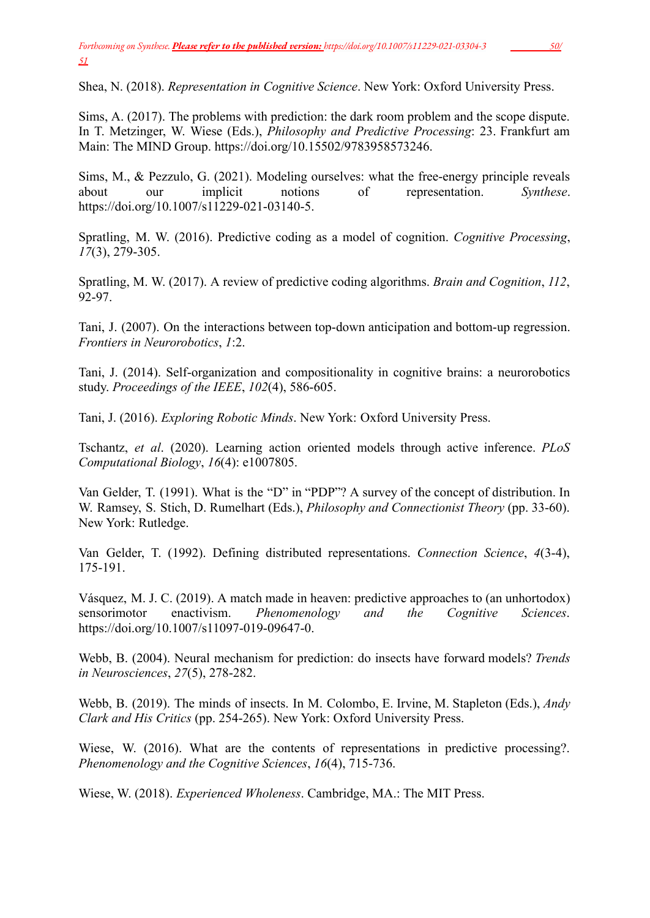Shea, N. (2018). *Representation in Cognitive Science*. New York: Oxford University Press.

Sims, A. (2017). The problems with prediction: the dark room problem and the scope dispute. In T. Metzinger, W. Wiese (Eds.), *Philosophy and Predictive Processing*: 23. Frankfurt am Main: The MIND Group. https://doi.org/10.15502/9783958573246.

Sims, M., & Pezzulo, G. (2021). Modeling ourselves: what the free-energy principle reveals about our implicit notions of representation. *Synthese*. https://doi.org/10.[1007/s11229-021-03140-5](https://doi.org/10.1007/s11229-021-03140-5).

Spratling, M. W. (2016). Predictive coding as a model of cognition. *Cognitive Processing*, *17*(3), 279-305.

Spratling, M. W. (2017). A review of predictive coding algorithms. *Brain and Cognition*, *112*, 92-97.

Tani, J. (2007). On the interactions between top-down anticipation and bottom-up regression. *Frontiers in Neurorobotics*, *1*:2.

Tani, J. (2014). Self-organization and compositionality in cognitive brains: a neurorobotics study. *Proceedings of the IEEE*, *102*(4), 586-605.

Tani, J. (2016). *Exploring Robotic Minds*. New York: Oxford University Press.

Tschantz, *et al*. (2020). Learning action oriented models through active inference. *PLoS Computational Biology*, *16*(4): e1007805.

Van Gelder, T. (1991). What is the "D" in "PDP"? A survey of the concept of distribution. In W. Ramsey, S. Stich, D. Rumelhart (Eds.), *Philosophy and Connectionist Theory* (pp. 33-60). New York: Rutledge.

Van Gelder, T. (1992). Defining distributed representations. *Connection Science*, *4*(3-4), 175-191.

Vásquez, M. J. C. (2019). A match made in heaven: predictive approaches to (an unhortodox) sensorimotor enactivism. *Phenomenology and the Cognitive Sciences*. https://doi.org/10.1007/s11097-019-09647-0.

Webb, B. (2004). Neural mechanism for prediction: do insects have forward models? *Trends in Neurosciences*, *27*(5), 278-282.

Webb, B. (2019). The minds of insects. In M. Colombo, E. Irvine, M. Stapleton (Eds.), *Andy Clark and His Critics* (pp. 254-265). New York: Oxford University Press.

Wiese, W. (2016). What are the contents of representations in predictive processing?. *Phenomenology and the Cognitive Sciences*, *16*(4), 715-736.

Wiese, W. (2018). *Experienced Wholeness*. Cambridge, MA.: The MIT Press.